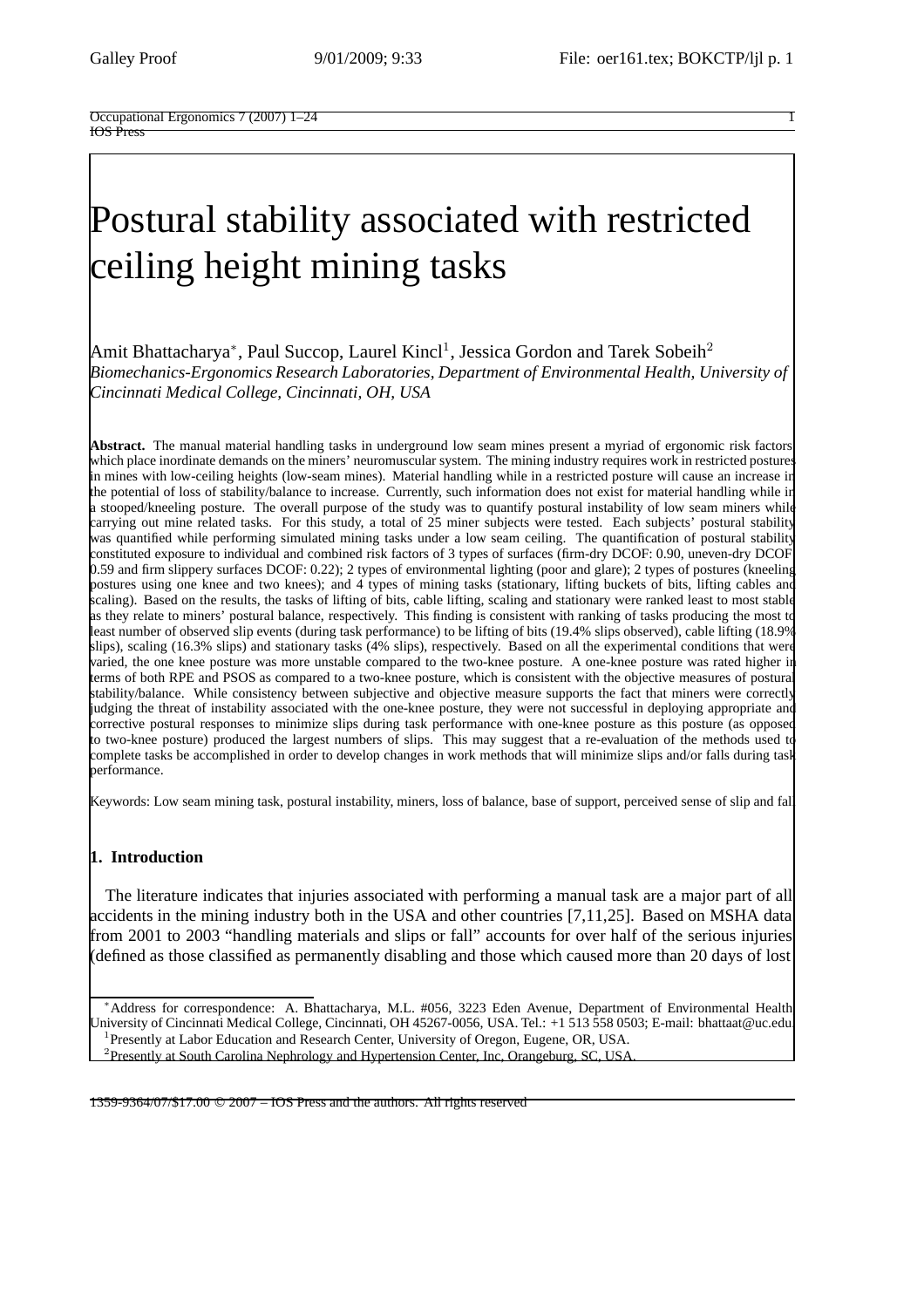Occupational Ergonomics 7 (2007) 1–24 1 IOS Press

# Postural stability associated with restricted ceiling height mining tasks

Amit Bhattacharya<sup>∗</sup>, Paul Succop, Laurel Kincl<sup>1</sup>, Jessica Gordon and Tarek Sobeih<sup>2</sup> *Biomechanics-Ergonomics Research Laboratories, Department of Environmental Health, University of Cincinnati Medical College, Cincinnati, OH, USA*

**Abstract.** The manual material handling tasks in underground low seam mines present a myriad of ergonomic risk factors, which place inordinate demands on the miners' neuromuscular system. The mining industry requires work in restricted posture in mines with low-ceiling heights (low-seam mines). Material handling while in a restricted posture will cause an increase in the potential of loss of stability/balance to increase. Currently, such information does not exist for material handling while in a stooped/kneeling posture. The overall purpose of the study was to quantify postural instability of low seam miners while carrying out mine related tasks. For this study, a total of 25 miner subjects were tested. Each subjects' postural stability was quantified while performing simulated mining tasks under a low seam ceiling. The quantification of postural stabilit constituted exposure to individual and combined risk factors of 3 types of surfaces (firm-dry DCOF: 0.90, uneven-dry DCOF: 0.59 and firm slippery surfaces DCOF: 0.22); 2 types of environmental lighting (poor and glare); 2 types of postures (kneeling postures using one knee and two knees); and 4 types of mining tasks (stationary, lifting buckets of bits, lifting cables and scaling). Based on the results, the tasks of lifting of bits, cable lifting, scaling and stationary were ranked least to most stable as they relate to miners' postural balance, respectively. This finding is consistent with ranking of tasks producing the most to least number of observed slip events (during task performance) to be lifting of bits (19.4% slips observed), cable lifting (18.9% slips), scaling (16.3% slips) and stationary tasks (4% slips), respectively. Based on all the experimental conditions that were varied, the one knee posture was more unstable compared to the two-knee posture. A one-knee posture was rated higher in terms of both RPE and PSOS as compared to a two-knee posture, which is consistent with the objective measures of postural stability/balance. While consistency between subjective and objective measure supports the fact that miners were correctly judging the threat of instability associated with the one-knee posture, they were not successful in deploying appropriate and corrective postural responses to minimize slips during task performance with one-knee posture as this posture (as opposed to two-knee posture) produced the largest numbers of slips. This may suggest that a re-evaluation of the methods used to complete tasks be accomplished in order to develop changes in work methods that will minimize slips and/or falls during task performance.

Keywords: Low seam mining task, postural instability, miners, loss of balance, base of support, perceived sense of slip and fall

#### **1. Introduction**

The literature indicates that injuries associated with performing a manual task are a major part of all accidents in the mining industry both in the USA and other countries [7,11,25]. Based on MSHA data from 2001 to 2003 "handling materials and slips or fall" accounts for over half of the serious injuries (defined as those classified as permanently disabling and those which caused more than 20 days of lost

<sup>∗</sup>Address for correspondence: A. Bhattacharya, M.L. #056, 3223 Eden Avenue, Department of Environmental Health, University of Cincinnati Medical College, Cincinnati, OH 45267-0056, USA. Tel.: +1 513 558 0503; E-mail: bhattaat@uc.edu.

<sup>1</sup>Presently at Labor Education and Research Center, University of Oregon, Eugene, OR, USA.

<sup>&</sup>lt;sup>2</sup> Presently at South Carolina Nephrology and Hypertension Center, Inc, Orangeburg, SC, USA.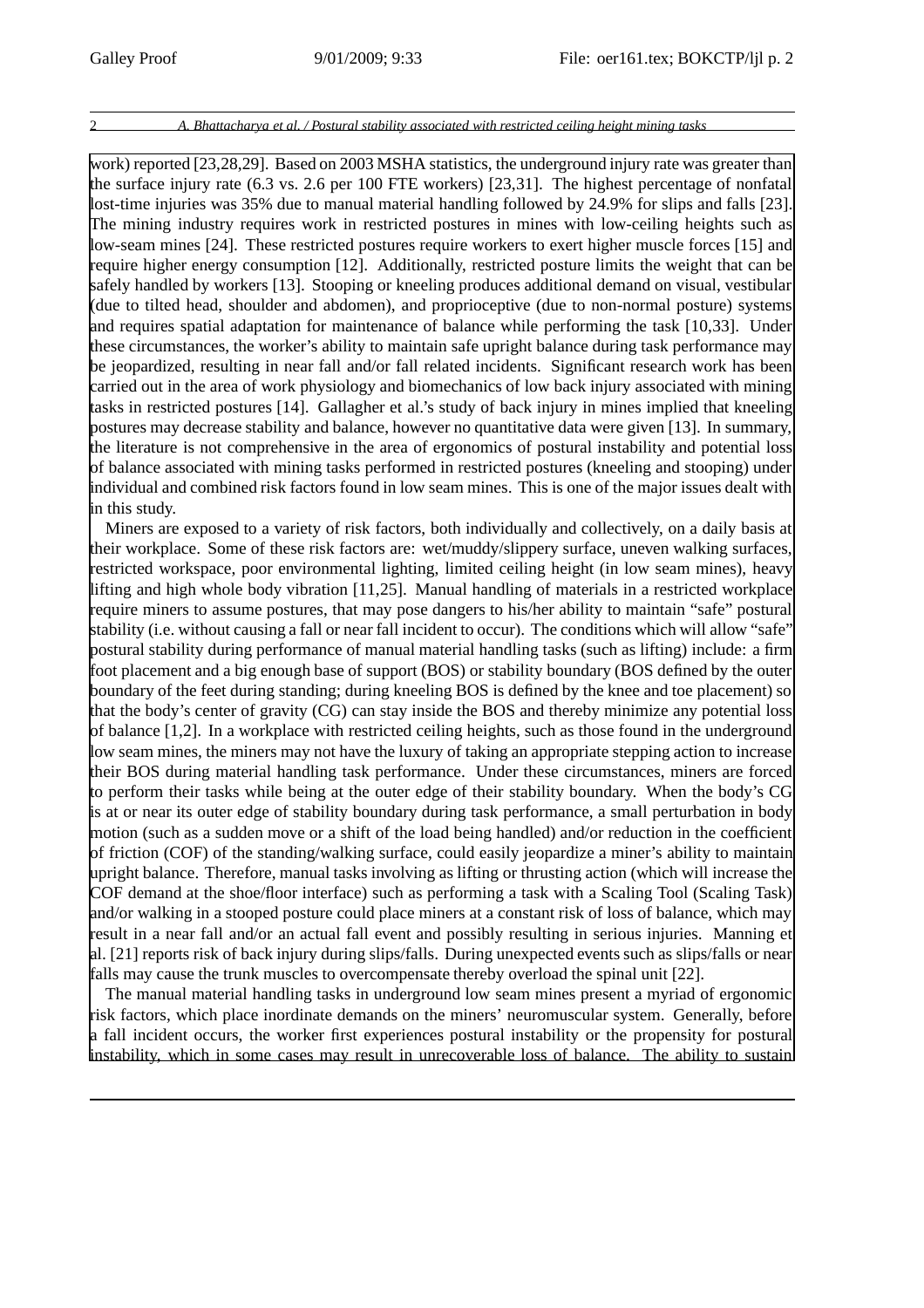work) reported [23,28,29]. Based on 2003 MSHA statistics, the underground injury rate was greater than the surface injury rate (6.3 vs. 2.6 per 100 FTE workers) [23,31]. The highest percentage of nonfatal lost-time injuries was 35% due to manual material handling followed by 24.9% for slips and falls [23]. The mining industry requires work in restricted postures in mines with low-ceiling heights such as low-seam mines [24]. These restricted postures require workers to exert higher muscle forces [15] and require higher energy consumption [12]. Additionally, restricted posture limits the weight that can be safely handled by workers [13]. Stooping or kneeling produces additional demand on visual, vestibular (due to tilted head, shoulder and abdomen), and proprioceptive (due to non-normal posture) systems and requires spatial adaptation for maintenance of balance while performing the task [10,33]. Under these circumstances, the worker's ability to maintain safe upright balance during task performance may be jeopardized, resulting in near fall and/or fall related incidents. Significant research work has been carried out in the area of work physiology and biomechanics of low back injury associated with mining tasks in restricted postures [14]. Gallagher et al.'s study of back injury in mines implied that kneeling postures may decrease stability and balance, however no quantitative data were given [13]. In summary, the literature is not comprehensive in the area of ergonomics of postural instability and potential loss of balance associated with mining tasks performed in restricted postures (kneeling and stooping) under individual and combined risk factors found in low seam mines. This is one of the major issues dealt with in this study.

Miners are exposed to a variety of risk factors, both individually and collectively, on a daily basis at their workplace. Some of these risk factors are: wet/muddy/slippery surface, uneven walking surfaces, restricted workspace, poor environmental lighting, limited ceiling height (in low seam mines), heavy lifting and high whole body vibration [11,25]. Manual handling of materials in a restricted workplace require miners to assume postures, that may pose dangers to his/her ability to maintain "safe" postural stability (i.e. without causing a fall or near fall incident to occur). The conditions which will allow "safe" postural stability during performance of manual material handling tasks (such as lifting) include: a firm foot placement and a big enough base of support (BOS) or stability boundary (BOS defined by the outer boundary of the feet during standing; during kneeling BOS is defined by the knee and toe placement) so that the body's center of gravity (CG) can stay inside the BOS and thereby minimize any potential loss of balance [1,2]. In a workplace with restricted ceiling heights, such as those found in the underground low seam mines, the miners may not have the luxury of taking an appropriate stepping action to increase their BOS during material handling task performance. Under these circumstances, miners are forced to perform their tasks while being at the outer edge of their stability boundary. When the body's CG is at or near its outer edge of stability boundary during task performance, a small perturbation in body motion (such as a sudden move or a shift of the load being handled) and/or reduction in the coefficient of friction (COF) of the standing/walking surface, could easily jeopardize a miner's ability to maintain upright balance. Therefore, manual tasks involving as lifting or thrusting action (which will increase the COF demand at the shoe/floor interface) such as performing a task with a Scaling Tool (Scaling Task) and/or walking in a stooped posture could place miners at a constant risk of loss of balance, which may result in a near fall and/or an actual fall event and possibly resulting in serious injuries. Manning et al. [21] reports risk of back injury during slips/falls. During unexpected events such as slips/falls or near falls may cause the trunk muscles to overcompensate thereby overload the spinal unit [22].

The manual material handling tasks in underground low seam mines present a myriad of ergonomic risk factors, which place inordinate demands on the miners' neuromuscular system. Generally, before a fall incident occurs, the worker first experiences postural instability or the propensity for postural instability, which in some cases may result in unrecoverable loss of balance. The ability to sustain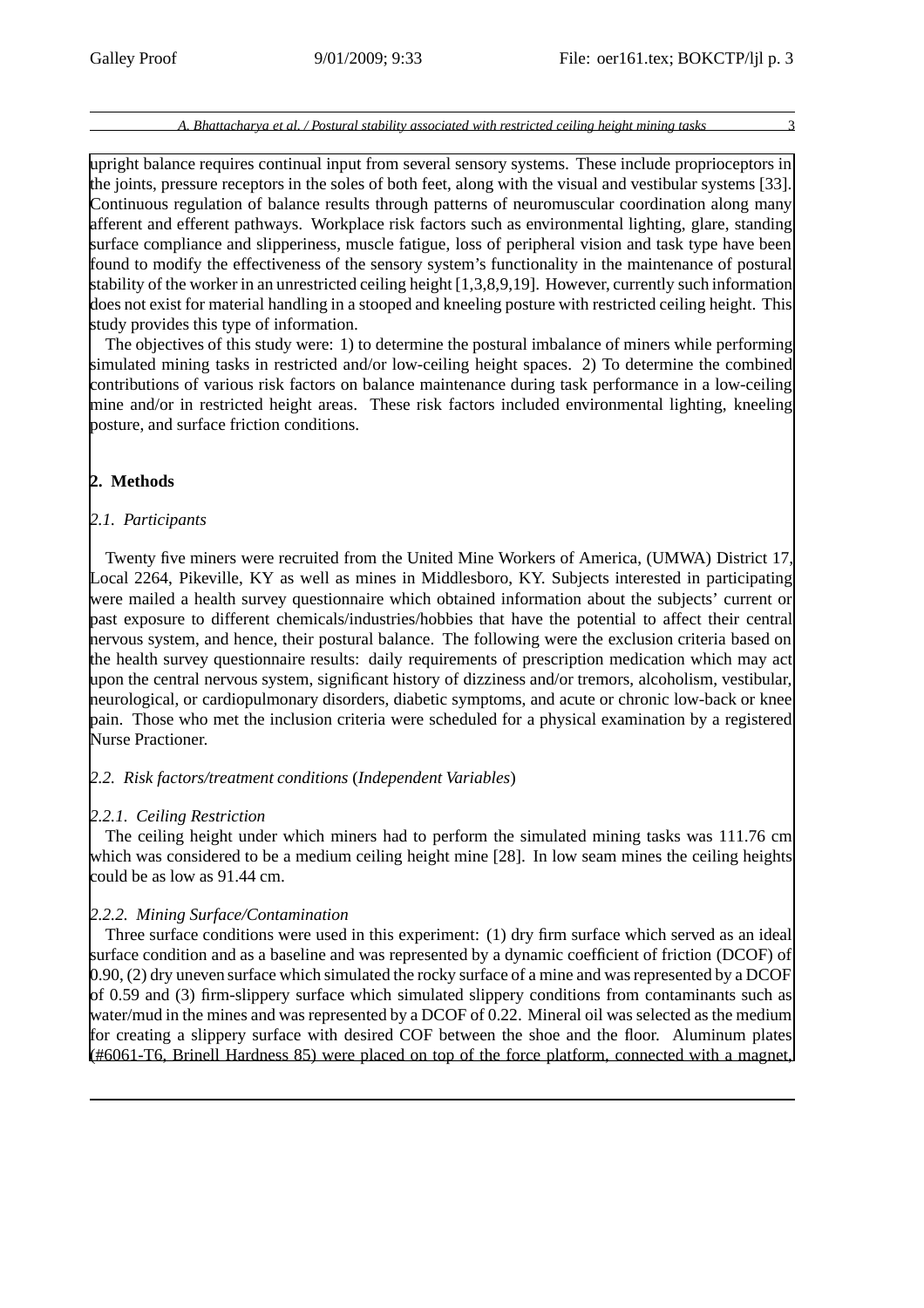upright balance requires continual input from several sensory systems. These include proprioceptors in the joints, pressure receptors in the soles of both feet, along with the visual and vestibular systems [33]. Continuous regulation of balance results through patterns of neuromuscular coordination along many afferent and efferent pathways. Workplace risk factors such as environmental lighting, glare, standing surface compliance and slipperiness, muscle fatigue, loss of peripheral vision and task type have been found to modify the effectiveness of the sensory system's functionality in the maintenance of postural stability of the worker in an unrestricted ceiling height [1,3,8,9,19]. However, currently such information does not exist for material handling in a stooped and kneeling posture with restricted ceiling height. This study provides this type of information.

The objectives of this study were: 1) to determine the postural imbalance of miners while performing simulated mining tasks in restricted and/or low-ceiling height spaces. 2) To determine the combined contributions of various risk factors on balance maintenance during task performance in a low-ceiling mine and/or in restricted height areas. These risk factors included environmental lighting, kneeling posture, and surface friction conditions.

# **2. Methods**

# *2.1. Participants*

Twenty five miners were recruited from the United Mine Workers of America, (UMWA) District 17, Local 2264, Pikeville, KY as well as mines in Middlesboro, KY. Subjects interested in participating were mailed a health survey questionnaire which obtained information about the subjects' current or past exposure to different chemicals/industries/hobbies that have the potential to affect their central nervous system, and hence, their postural balance. The following were the exclusion criteria based on the health survey questionnaire results: daily requirements of prescription medication which may act upon the central nervous system, significant history of dizziness and/or tremors, alcoholism, vestibular, neurological, or cardiopulmonary disorders, diabetic symptoms, and acute or chronic low-back or knee pain. Those who met the inclusion criteria were scheduled for a physical examination by a registered Nurse Practioner.

#### *2.2. Risk factors/treatment conditions* (*Independent Variables*)

# *2.2.1. Ceiling Restriction*

The ceiling height under which miners had to perform the simulated mining tasks was 111.76 cm which was considered to be a medium ceiling height mine [28]. In low seam mines the ceiling heights could be as low as 91.44 cm.

# *2.2.2. Mining Surface/Contamination*

Three surface conditions were used in this experiment: (1) dry firm surface which served as an ideal surface condition and as a baseline and was represented by a dynamic coefficient of friction (DCOF) of 0.90, (2) dry uneven surface which simulated the rocky surface of a mine and was represented by a DCOF of 0.59 and (3) firm-slippery surface which simulated slippery conditions from contaminants such as water/mud in the mines and was represented by a DCOF of 0.22. Mineral oil was selected as the medium for creating a slippery surface with desired COF between the shoe and the floor. Aluminum plates (#6061-T6, Brinell Hardness 85) were placed on top of the force platform, connected with a magnet,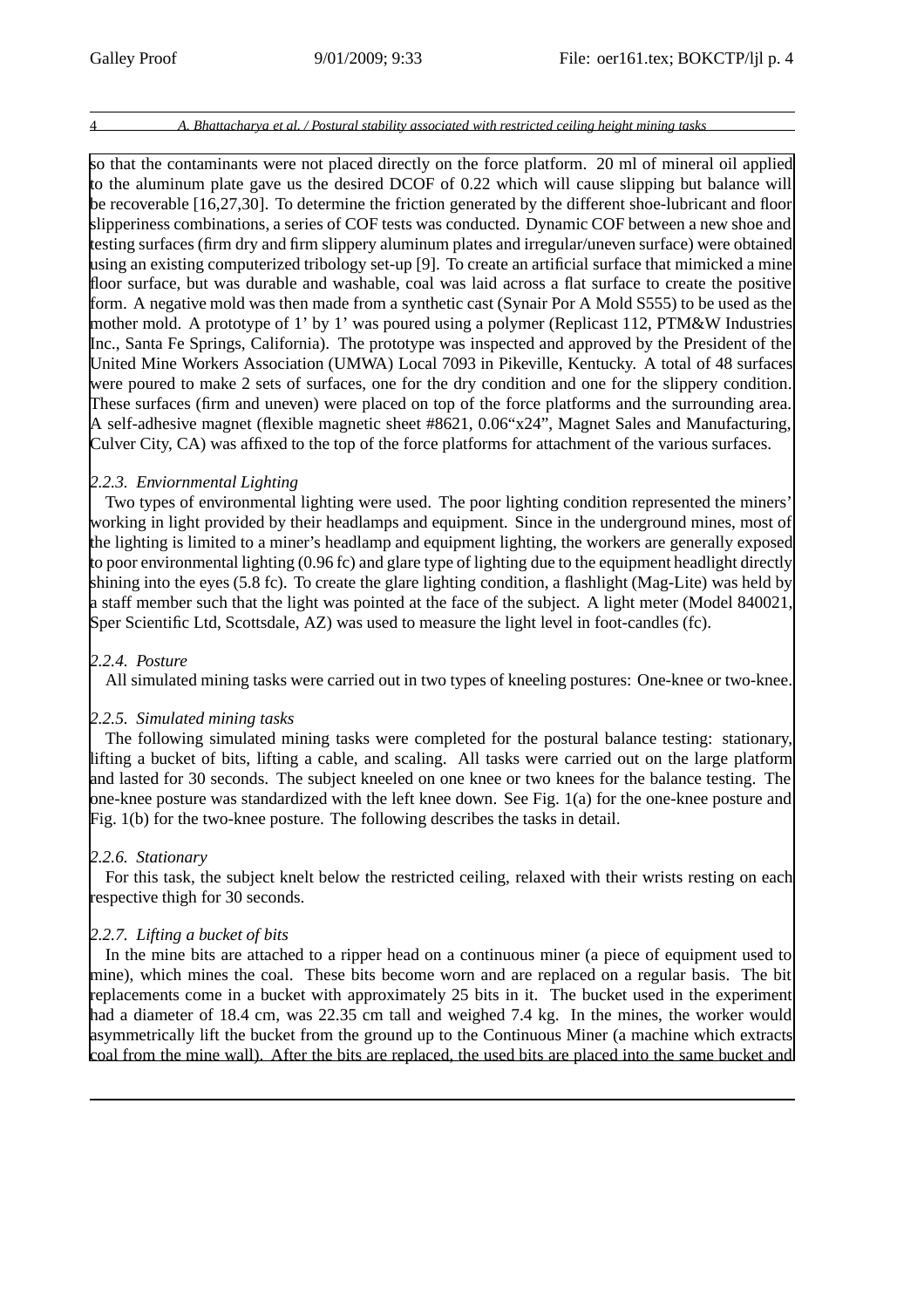so that the contaminants were not placed directly on the force platform. 20 ml of mineral oil applied to the aluminum plate gave us the desired DCOF of 0.22 which will cause slipping but balance will be recoverable [16,27,30]. To determine the friction generated by the different shoe-lubricant and floor slipperiness combinations, a series of COF tests was conducted. Dynamic COF between a new shoe and testing surfaces (firm dry and firm slippery aluminum plates and irregular/uneven surface) were obtained using an existing computerized tribology set-up [9]. To create an artificial surface that mimicked a mine floor surface, but was durable and washable, coal was laid across a flat surface to create the positive form. A negative mold was then made from a synthetic cast (Synair Por A Mold S555) to be used as the mother mold. A prototype of 1' by 1' was poured using a polymer (Replicast 112, PTM&W Industries Inc., Santa Fe Springs, California). The prototype was inspected and approved by the President of the United Mine Workers Association (UMWA) Local 7093 in Pikeville, Kentucky. A total of 48 surfaces were poured to make 2 sets of surfaces, one for the dry condition and one for the slippery condition. These surfaces (firm and uneven) were placed on top of the force platforms and the surrounding area. A self-adhesive magnet (flexible magnetic sheet #8621, 0.06"x24", Magnet Sales and Manufacturing, Culver City, CA) was affixed to the top of the force platforms for attachment of the various surfaces.

## *2.2.3. Enviornmental Lighting*

Two types of environmental lighting were used. The poor lighting condition represented the miners' working in light provided by their headlamps and equipment. Since in the underground mines, most of the lighting is limited to a miner's headlamp and equipment lighting, the workers are generally exposed to poor environmental lighting (0.96 fc) and glare type of lighting due to the equipment headlight directly shining into the eyes (5.8 fc). To create the glare lighting condition, a flashlight (Mag-Lite) was held by a staff member such that the light was pointed at the face of the subject. A light meter (Model 840021, Sper Scientific Ltd, Scottsdale, AZ) was used to measure the light level in foot-candles (fc).

#### *2.2.4. Posture*

All simulated mining tasks were carried out in two types of kneeling postures: One-knee or two-knee.

# *2.2.5. Simulated mining tasks*

The following simulated mining tasks were completed for the postural balance testing: stationary, lifting a bucket of bits, lifting a cable, and scaling. All tasks were carried out on the large platform and lasted for 30 seconds. The subject kneeled on one knee or two knees for the balance testing. The one-knee posture was standardized with the left knee down. See Fig. 1(a) for the one-knee posture and Fig. 1(b) for the two-knee posture. The following describes the tasks in detail.

## *2.2.6. Stationary*

For this task, the subject knelt below the restricted ceiling, relaxed with their wrists resting on each respective thigh for 30 seconds.

# *2.2.7. Lifting a bucket of bits*

In the mine bits are attached to a ripper head on a continuous miner (a piece of equipment used to mine), which mines the coal. These bits become worn and are replaced on a regular basis. The bit replacements come in a bucket with approximately 25 bits in it. The bucket used in the experiment had a diameter of 18.4 cm, was 22.35 cm tall and weighed 7.4 kg. In the mines, the worker would asymmetrically lift the bucket from the ground up to the Continuous Miner (a machine which extracts coal from the mine wall). After the bits are replaced, the used bits are placed into the same bucket and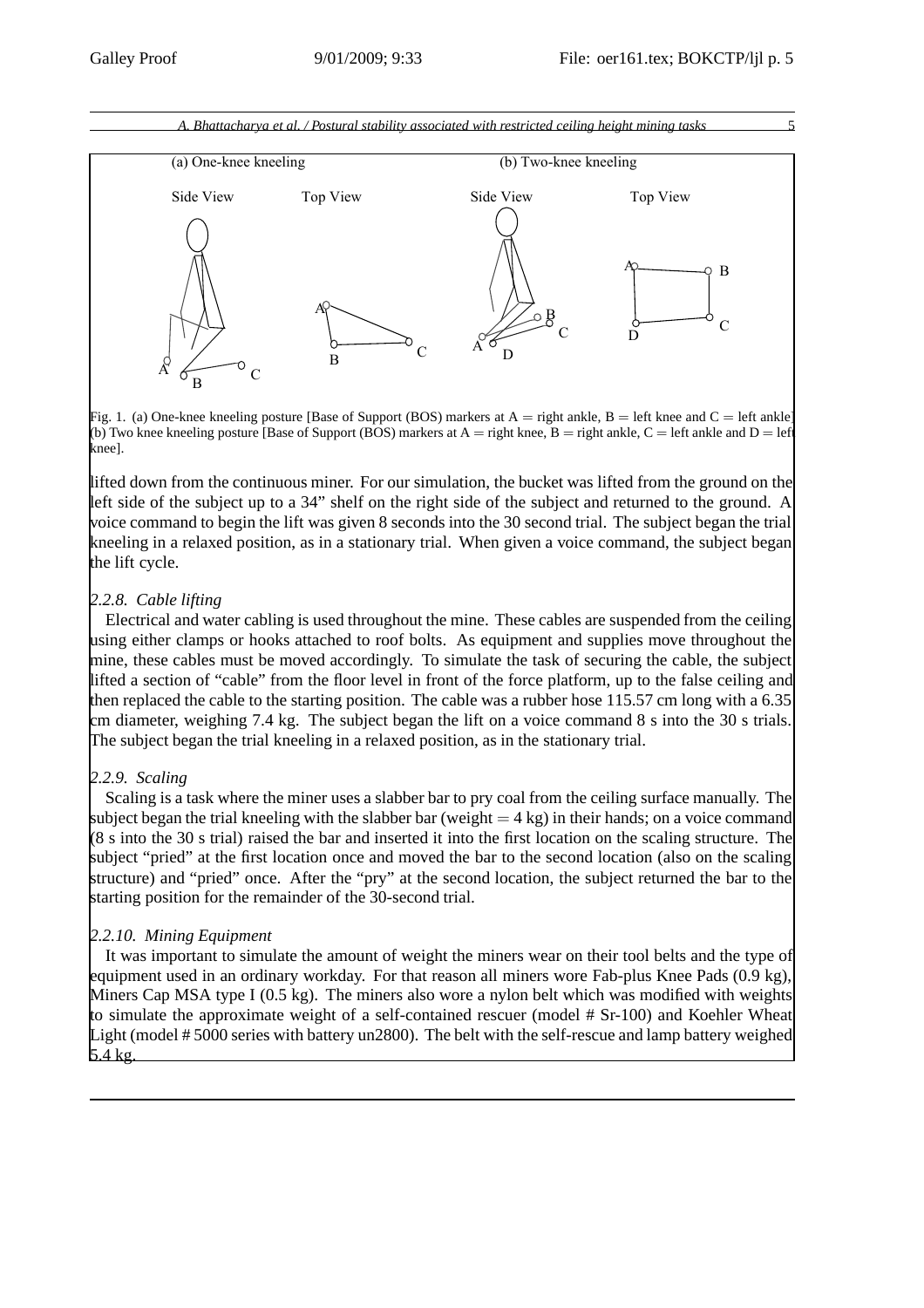

Fig. 1. (a) One-knee kneeling posture [Base of Support (BOS) markers at  $A =$  right ankle,  $B =$  left knee and  $C =$  left ankle] (b) Two knee kneeling posture [Base of Support (BOS) markers at  $A = right$  knee,  $B = right$  ankle,  $C = left$  ankle and  $D = left$ knee].

lifted down from the continuous miner. For our simulation, the bucket was lifted from the ground on the left side of the subject up to a 34" shelf on the right side of the subject and returned to the ground. A voice command to begin the lift was given 8 seconds into the 30 second trial. The subject began the trial kneeling in a relaxed position, as in a stationary trial. When given a voice command, the subject began the lift cycle.

#### *2.2.8. Cable lifting*

Electrical and water cabling is used throughout the mine. These cables are suspended from the ceiling using either clamps or hooks attached to roof bolts. As equipment and supplies move throughout the mine, these cables must be moved accordingly. To simulate the task of securing the cable, the subject lifted a section of "cable" from the floor level in front of the force platform, up to the false ceiling and then replaced the cable to the starting position. The cable was a rubber hose 115.57 cm long with a 6.35 cm diameter, weighing 7.4 kg. The subject began the lift on a voice command 8 s into the 30 s trials. The subject began the trial kneeling in a relaxed position, as in the stationary trial.

#### *2.2.9. Scaling*

Scaling is a task where the miner uses a slabber bar to pry coal from the ceiling surface manually. The subject began the trial kneeling with the slabber bar (weight  $= 4 \text{ kg}$ ) in their hands; on a voice command (8 s into the 30 s trial) raised the bar and inserted it into the first location on the scaling structure. The subject "pried" at the first location once and moved the bar to the second location (also on the scaling structure) and "pried" once. After the "pry" at the second location, the subject returned the bar to the starting position for the remainder of the 30-second trial.

#### *2.2.10. Mining Equipment*

It was important to simulate the amount of weight the miners wear on their tool belts and the type of equipment used in an ordinary workday. For that reason all miners wore Fab-plus Knee Pads (0.9 kg), Miners Cap MSA type I (0.5 kg). The miners also wore a nylon belt which was modified with weights to simulate the approximate weight of a self-contained rescuer (model # Sr-100) and Koehler Wheat Light (model #5000 series with battery un2800). The belt with the self-rescue and lamp battery weighed 5.4 kg.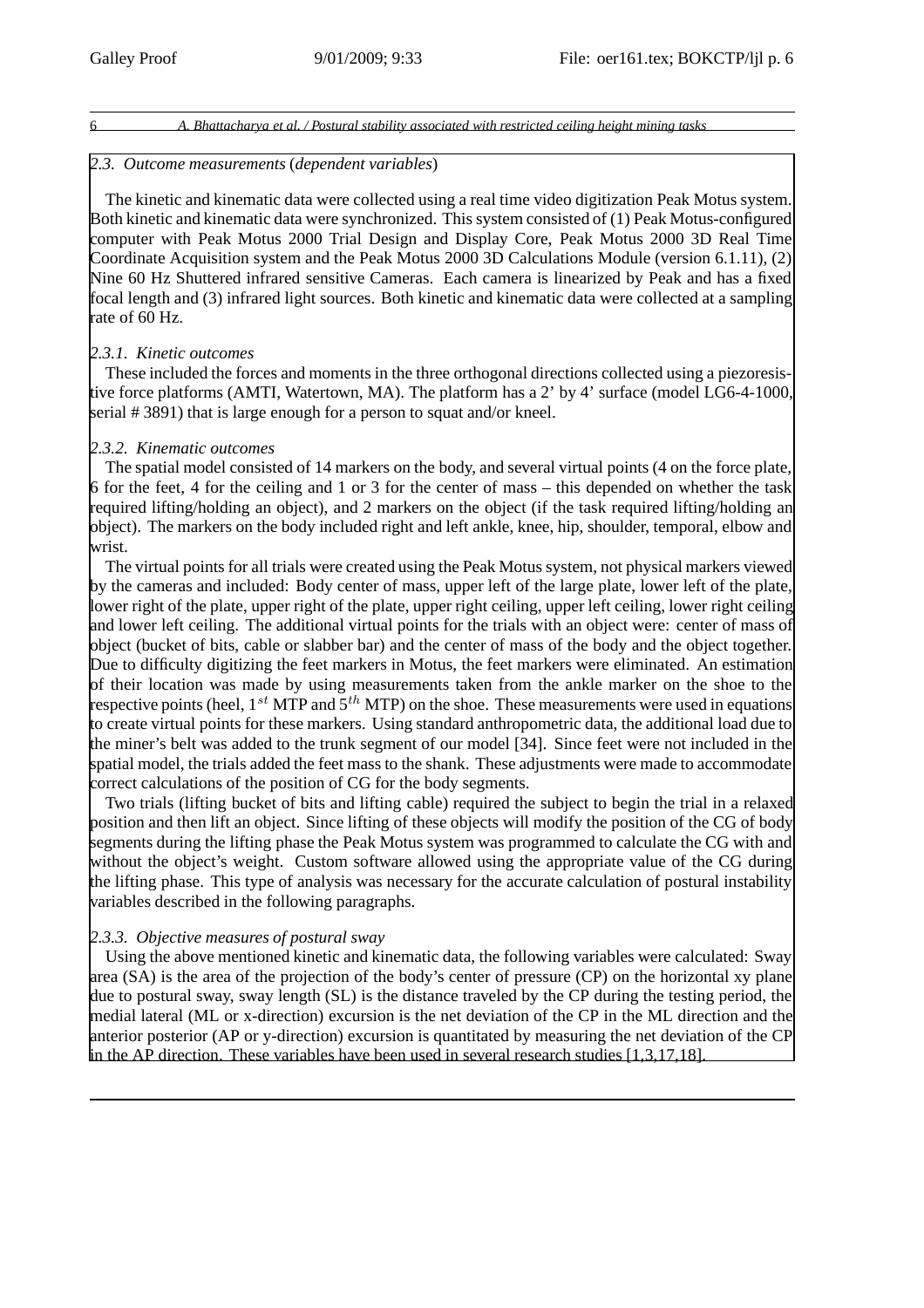#### *2.3. Outcome measurements* (*dependent variables*)

The kinetic and kinematic data were collected using a real time video digitization Peak Motus system. Both kinetic and kinematic data were synchronized. This system consisted of (1) Peak Motus-configured computer with Peak Motus 2000 Trial Design and Display Core, Peak Motus 2000 3D Real Time Coordinate Acquisition system and the Peak Motus 2000 3D Calculations Module (version 6.1.11), (2) Nine 60 Hz Shuttered infrared sensitive Cameras. Each camera is linearized by Peak and has a fixed focal length and (3) infrared light sources. Both kinetic and kinematic data were collected at a sampling rate of 60 Hz.

## *2.3.1. Kinetic outcomes*

These included the forces and moments in the three orthogonal directions collected using a piezoresistive force platforms (AMTI, Watertown, MA). The platform has a 2' by 4' surface (model LG6-4-1000, serial # 3891) that is large enough for a person to squat and/or kneel.

## *2.3.2. Kinematic outcomes*

The spatial model consisted of 14 markers on the body, and several virtual points (4 on the force plate, 6 for the feet, 4 for the ceiling and 1 or 3 for the center of mass – this depended on whether the task required lifting/holding an object), and 2 markers on the object (if the task required lifting/holding an object). The markers on the body included right and left ankle, knee, hip, shoulder, temporal, elbow and wrist.

The virtual points for all trials were created using the Peak Motus system, not physical markers viewed by the cameras and included: Body center of mass, upper left of the large plate, lower left of the plate, lower right of the plate, upper right of the plate, upper right ceiling, upper left ceiling, lower right ceiling and lower left ceiling. The additional virtual points for the trials with an object were: center of mass of object (bucket of bits, cable or slabber bar) and the center of mass of the body and the object together. Due to difficulty digitizing the feet markers in Motus, the feet markers were eliminated. An estimation of their location was made by using measurements taken from the ankle marker on the shoe to the respective points (heel, 1*st* MTP and 5*th* MTP) on the shoe. These measurements were used in equations to create virtual points for these markers. Using standard anthropometric data, the additional load due to the miner's belt was added to the trunk segment of our model [34]. Since feet were not included in the spatial model, the trials added the feet mass to the shank. These adjustments were made to accommodate correct calculations of the position of CG for the body segments.

Two trials (lifting bucket of bits and lifting cable) required the subject to begin the trial in a relaxed position and then lift an object. Since lifting of these objects will modify the position of the CG of body segments during the lifting phase the Peak Motus system was programmed to calculate the CG with and without the object's weight. Custom software allowed using the appropriate value of the CG during the lifting phase. This type of analysis was necessary for the accurate calculation of postural instability variables described in the following paragraphs.

# *2.3.3. Objective measures of postural sway*

Using the above mentioned kinetic and kinematic data, the following variables were calculated: Sway area (SA) is the area of the projection of the body's center of pressure (CP) on the horizontal xy plane due to postural sway, sway length (SL) is the distance traveled by the CP during the testing period, the medial lateral (ML or x-direction) excursion is the net deviation of the CP in the ML direction and the anterior posterior (AP or y-direction) excursion is quantitated by measuring the net deviation of the CP in the AP direction. These variables have been used in several research studies [1,3,17,18].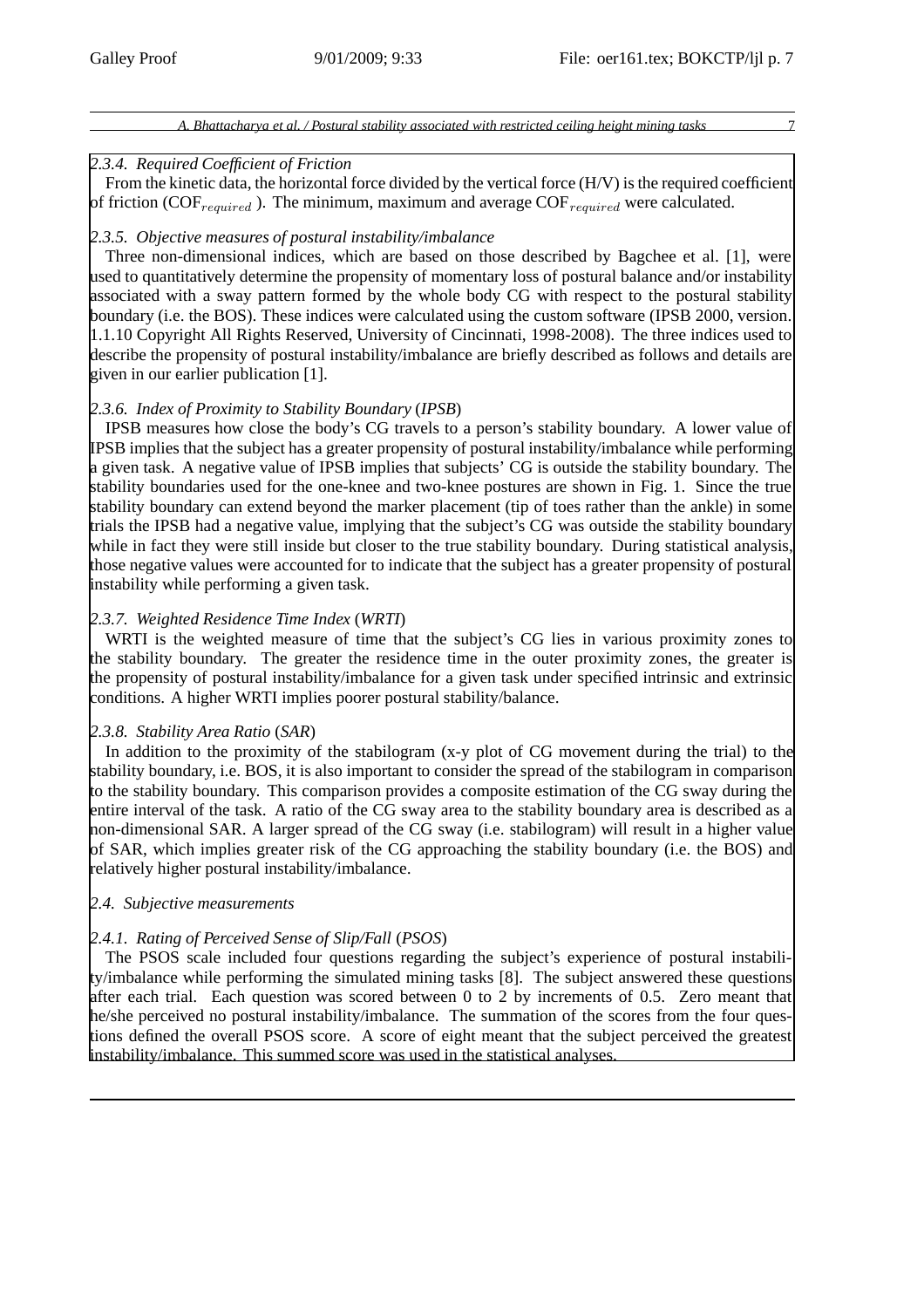## *2.3.4. Required Coefficient of Friction*

From the kinetic data, the horizontal force divided by the vertical force (H/V) is the required coefficient of friction (COF*required* ). The minimum, maximum and average COF*required* were calculated.

## *2.3.5. Objective measures of postural instability/imbalance*

Three non-dimensional indices, which are based on those described by Bagchee et al. [1], were used to quantitatively determine the propensity of momentary loss of postural balance and/or instability associated with a sway pattern formed by the whole body CG with respect to the postural stability boundary (i.e. the BOS). These indices were calculated using the custom software (IPSB 2000, version. 1.1.10 Copyright All Rights Reserved, University of Cincinnati, 1998-2008). The three indices used to describe the propensity of postural instability/imbalance are briefly described as follows and details are given in our earlier publication [1].

## *2.3.6. Index of Proximity to Stability Boundary* (*IPSB*)

IPSB measures how close the body's CG travels to a person's stability boundary. A lower value of IPSB implies that the subject has a greater propensity of postural instability/imbalance while performing a given task. A negative value of IPSB implies that subjects' CG is outside the stability boundary. The stability boundaries used for the one-knee and two-knee postures are shown in Fig. 1. Since the true stability boundary can extend beyond the marker placement (tip of toes rather than the ankle) in some trials the IPSB had a negative value, implying that the subject's CG was outside the stability boundary while in fact they were still inside but closer to the true stability boundary. During statistical analysis, those negative values were accounted for to indicate that the subject has a greater propensity of postural instability while performing a given task.

## *2.3.7. Weighted Residence Time Index* (*WRTI*)

WRTI is the weighted measure of time that the subject's CG lies in various proximity zones to the stability boundary. The greater the residence time in the outer proximity zones, the greater is the propensity of postural instability/imbalance for a given task under specified intrinsic and extrinsic conditions. A higher WRTI implies poorer postural stability/balance.

# *2.3.8. Stability Area Ratio* (*SAR*)

In addition to the proximity of the stabilogram (x-y plot of CG movement during the trial) to the stability boundary, i.e. BOS, it is also important to consider the spread of the stabilogram in comparison to the stability boundary. This comparison provides a composite estimation of the CG sway during the entire interval of the task. A ratio of the CG sway area to the stability boundary area is described as a non-dimensional SAR. A larger spread of the CG sway (i.e. stabilogram) will result in a higher value of SAR, which implies greater risk of the CG approaching the stability boundary (i.e. the BOS) and relatively higher postural instability/imbalance.

# *2.4. Subjective measurements*

# *2.4.1. Rating of Perceived Sense of Slip/Fall* (*PSOS*)

The PSOS scale included four questions regarding the subject's experience of postural instability/imbalance while performing the simulated mining tasks [8]. The subject answered these questions after each trial. Each question was scored between 0 to 2 by increments of 0.5. Zero meant that he/she perceived no postural instability/imbalance. The summation of the scores from the four questions defined the overall PSOS score. A score of eight meant that the subject perceived the greatest instability/imbalance. This summed score was used in the statistical analyses.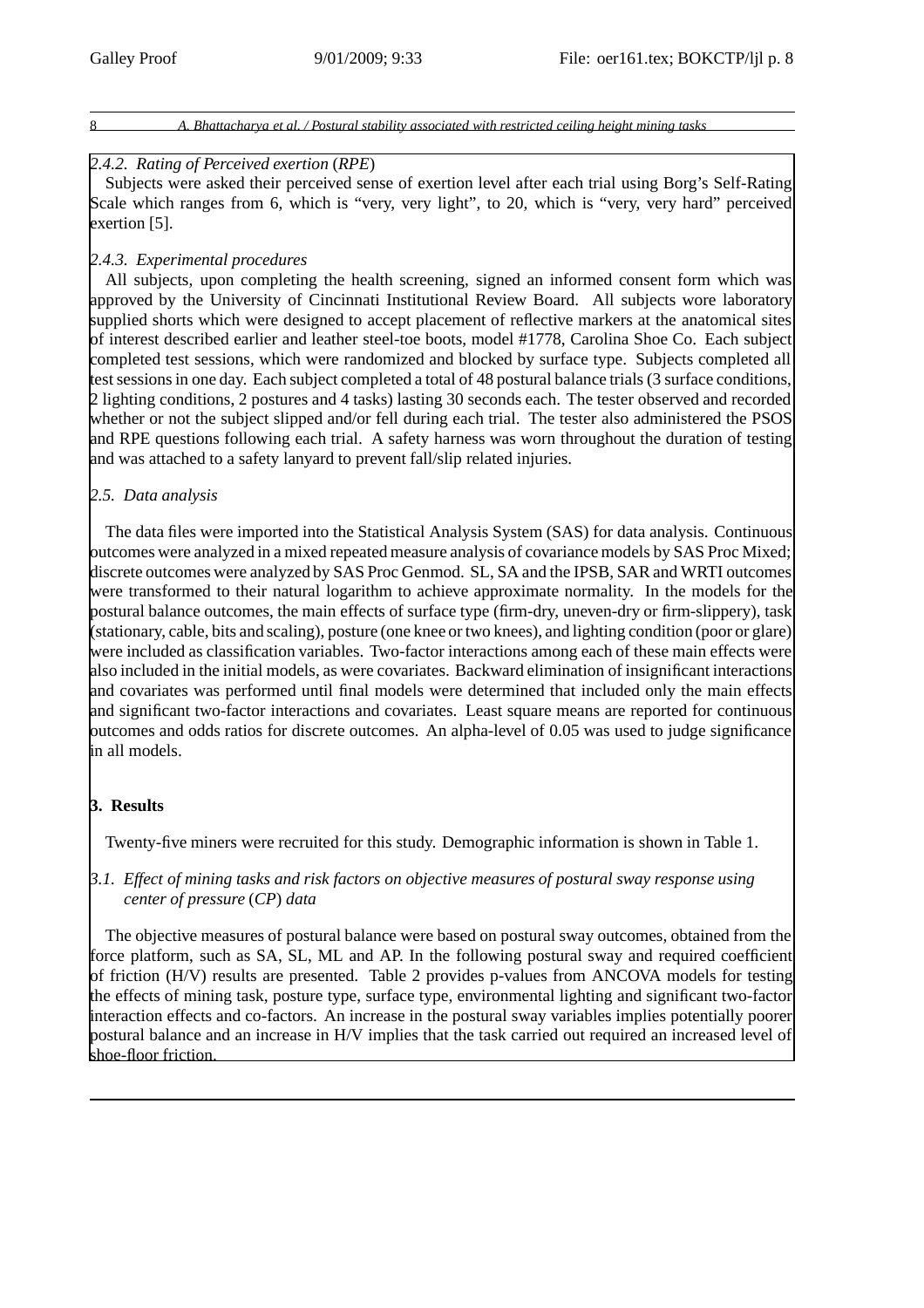## *2.4.2. Rating of Perceived exertion* (*RPE*)

Subjects were asked their perceived sense of exertion level after each trial using Borg's Self-Rating Scale which ranges from 6, which is "very, very light", to 20, which is "very, very hard" perceived exertion [5].

# *2.4.3. Experimental procedures*

All subjects, upon completing the health screening, signed an informed consent form which was approved by the University of Cincinnati Institutional Review Board. All subjects wore laboratory supplied shorts which were designed to accept placement of reflective markers at the anatomical sites of interest described earlier and leather steel-toe boots, model #1778, Carolina Shoe Co. Each subject completed test sessions, which were randomized and blocked by surface type. Subjects completed all test sessions in one day. Each subject completed a total of 48 postural balance trials (3 surface conditions, 2 lighting conditions, 2 postures and 4 tasks) lasting 30 seconds each. The tester observed and recorded whether or not the subject slipped and/or fell during each trial. The tester also administered the PSOS and RPE questions following each trial. A safety harness was worn throughout the duration of testing and was attached to a safety lanyard to prevent fall/slip related injuries.

## *2.5. Data analysis*

The data files were imported into the Statistical Analysis System (SAS) for data analysis. Continuous outcomes were analyzed in a mixed repeated measure analysis of covariance models by SAS Proc Mixed; discrete outcomes were analyzed by SAS Proc Genmod. SL, SA and the IPSB, SAR and WRTI outcomes were transformed to their natural logarithm to achieve approximate normality. In the models for the postural balance outcomes, the main effects of surface type (firm-dry, uneven-dry or firm-slippery), task (stationary, cable, bits and scaling), posture (one knee or two knees), and lighting condition (poor or glare) were included as classification variables. Two-factor interactions among each of these main effects were also included in the initial models, as were covariates. Backward elimination of insignificant interactions and covariates was performed until final models were determined that included only the main effects and significant two-factor interactions and covariates. Least square means are reported for continuous outcomes and odds ratios for discrete outcomes. An alpha-level of 0.05 was used to judge significance in all models.

# **3. Results**

Twenty-five miners were recruited for this study. Demographic information is shown in Table 1.

## *3.1. Effect of mining tasks and risk factors on objective measures of postural sway response using center of pressure* (*CP*) *data*

The objective measures of postural balance were based on postural sway outcomes, obtained from the force platform, such as SA, SL, ML and AP. In the following postural sway and required coefficient of friction (H/V) results are presented. Table 2 provides p-values from ANCOVA models for testing the effects of mining task, posture type, surface type, environmental lighting and significant two-factor interaction effects and co-factors. An increase in the postural sway variables implies potentially poorer postural balance and an increase in H/V implies that the task carried out required an increased level of shoe-floor friction.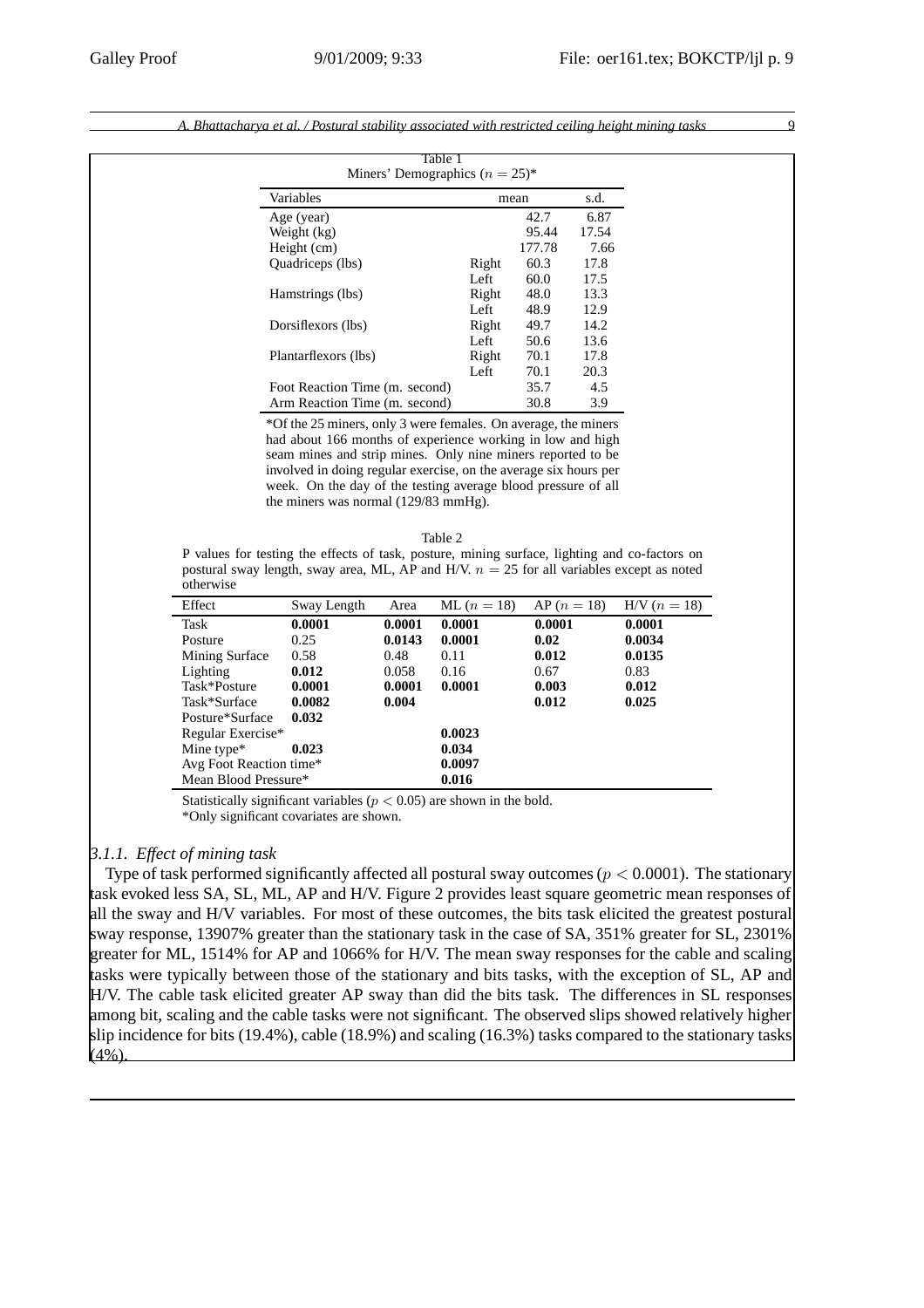| Variables<br>Age (year)<br>Weight (kg)<br>Height (cm)<br>Quadriceps (lbs)<br>Hamstrings (lbs) | Right | mean<br>42.7<br>95.44<br>177.78 | s.d.<br>6.87<br>17.54 |
|-----------------------------------------------------------------------------------------------|-------|---------------------------------|-----------------------|
|                                                                                               |       |                                 |                       |
|                                                                                               |       |                                 |                       |
|                                                                                               |       |                                 | 7.66                  |
|                                                                                               |       | 60.3                            | 17.8                  |
|                                                                                               | Left  | 60.0                            | 17.5                  |
|                                                                                               | Right | 48.0                            | 13.3                  |
|                                                                                               | Left  | 48.9                            | 12.9                  |
| Dorsiflexors (lbs)                                                                            | Right | 49.7                            | 14.2                  |
|                                                                                               | Left  | 50.6                            | 13.6                  |
| Plantarflexors (lbs)                                                                          | Right | 70.1                            | 17.8                  |
|                                                                                               | Left  | 70.1                            | 20.3                  |
| Foot Reaction Time (m. second)                                                                |       | 35.7                            | 4.5                   |
| Arm Reaction Time (m. second)                                                                 |       | 30.8                            | 3.9                   |

Table 2 P values for testing the effects of task, posture, mining surface, lighting and co-factors on

postural sway length, sway area, ML, AP and H/V.  $n = 25$  for all variables except as noted otherwise

| Effect                  | Sway Length | Area   | ML $(n=18)$ | $AP (n = 18)$ | $H/V (n = 18)$ |
|-------------------------|-------------|--------|-------------|---------------|----------------|
| Task                    | 0.0001      | 0.0001 | 0.0001      | 0.0001        | 0.0001         |
| Posture                 | 0.25        | 0.0143 | 0.0001      | 0.02          | 0.0034         |
| <b>Mining Surface</b>   | 0.58        | 0.48   | 0.11        | 0.012         | 0.0135         |
| Lighting                | 0.012       | 0.058  | 0.16        | 0.67          | 0.83           |
| Task*Posture            | 0.0001      | 0.0001 | 0.0001      | 0.003         | 0.012          |
| Task*Surface            | 0.0082      | 0.004  |             | 0.012         | 0.025          |
| Posture*Surface         | 0.032       |        |             |               |                |
| Regular Exercise*       |             |        | 0.0023      |               |                |
| Mine type*              | 0.023       |        | 0.034       |               |                |
| Avg Foot Reaction time* |             |        | 0.0097      |               |                |
| Mean Blood Pressure*    |             |        | 0.016       |               |                |

Statistically significant variables (*p <* 0.05) are shown in the bold. \*Only significant covariates are shown.

#### *3.1.1. Effect of mining task*

Type of task performed significantly affected all postural sway outcomes ( $p < 0.0001$ ). The stationary task evoked less SA, SL, ML, AP and H/V. Figure 2 provides least square geometric mean responses of all the sway and H/V variables. For most of these outcomes, the bits task elicited the greatest postural sway response, 13907% greater than the stationary task in the case of SA, 351% greater for SL, 2301% greater for ML, 1514% for AP and 1066% for H/V. The mean sway responses for the cable and scaling tasks were typically between those of the stationary and bits tasks, with the exception of SL, AP and H/V. The cable task elicited greater AP sway than did the bits task. The differences in SL responses among bit, scaling and the cable tasks were not significant. The observed slips showed relatively higher slip incidence for bits (19.4%), cable (18.9%) and scaling (16.3%) tasks compared to the stationary tasks  $(4\%)$ .

*A. Bhattacharya et al. / Postural stability associated with restricted ceiling height mining tasks* 9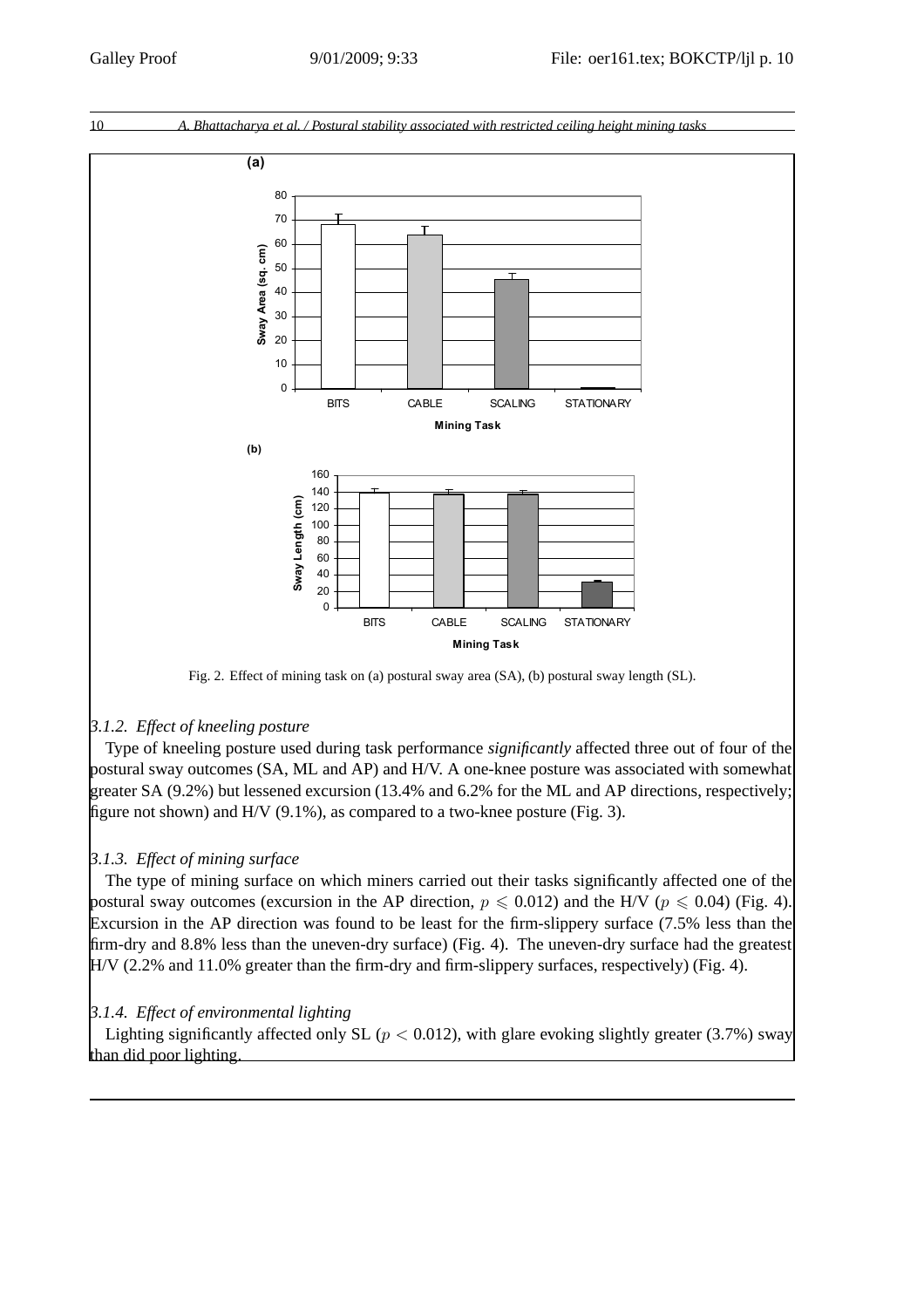



Fig. 2. Effect of mining task on (a) postural sway area (SA), (b) postural sway length (SL).

#### *3.1.2. Effect of kneeling posture*

Type of kneeling posture used during task performance *significantly* affected three out of four of the postural sway outcomes (SA, ML and AP) and H/V. A one-knee posture was associated with somewhat greater SA (9.2%) but lessened excursion (13.4% and 6.2% for the ML and AP directions, respectively; figure not shown) and  $H/V$  (9.1%), as compared to a two-knee posture (Fig. 3).

# *3.1.3. Effect of mining surface*

The type of mining surface on which miners carried out their tasks significantly affected one of the postural sway outcomes (excursion in the AP direction,  $p \leq 0.012$ ) and the H/V ( $p \leq 0.04$ ) (Fig. 4). Excursion in the AP direction was found to be least for the firm-slippery surface (7.5% less than the firm-dry and 8.8% less than the uneven-dry surface) (Fig. 4). The uneven-dry surface had the greatest H/V (2.2% and 11.0% greater than the firm-dry and firm-slippery surfaces, respectively) (Fig. 4).

## *3.1.4. Effect of environmental lighting*

Lighting significantly affected only SL ( $p < 0.012$ ), with glare evoking slightly greater (3.7%) sway than did poor lighting.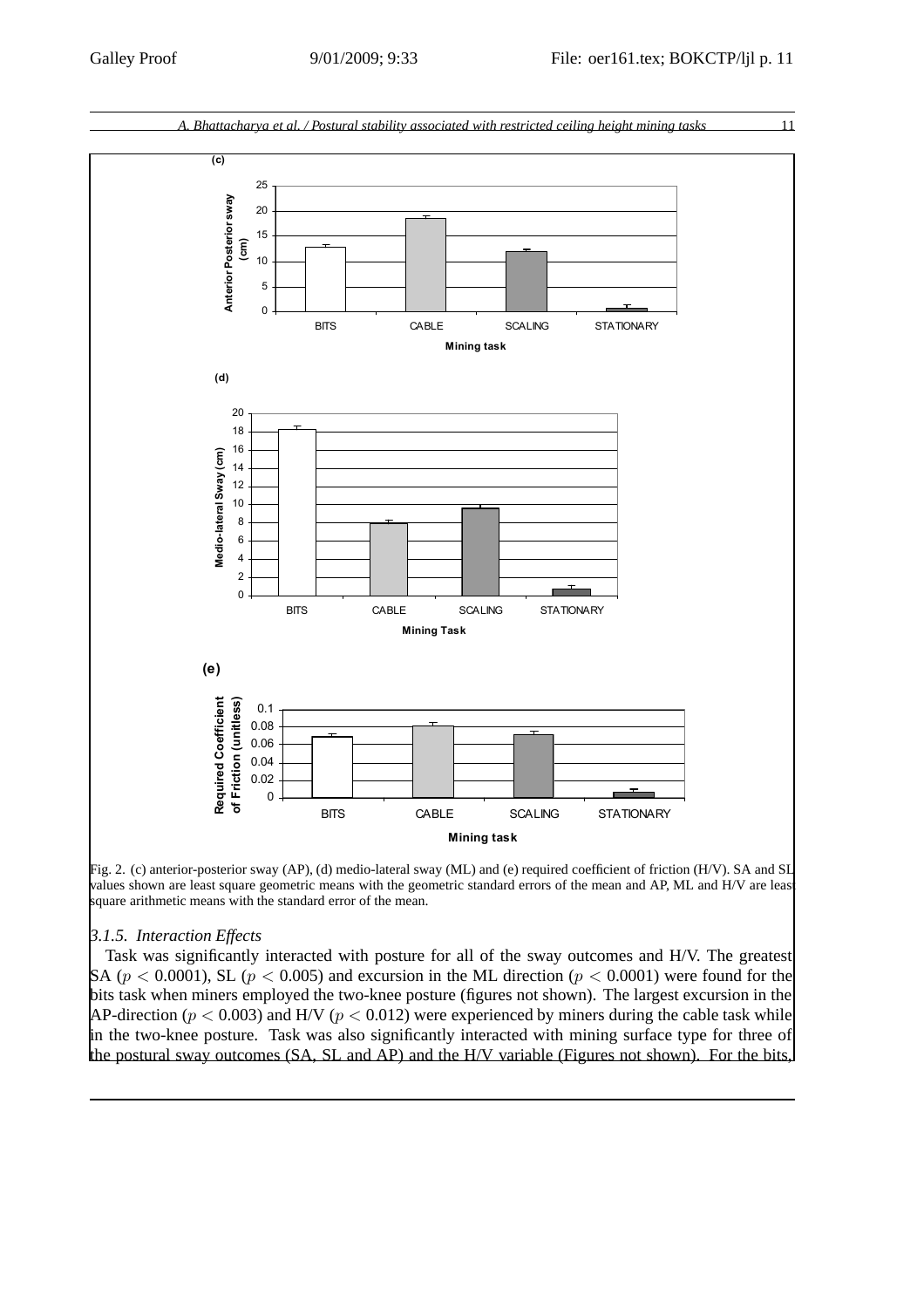

Fig. 2. (c) anterior-posterior sway (AP), (d) medio-lateral sway (ML) and (e) required coefficient of friction (H/V). SA and SL values shown are least square geometric means with the geometric standard errors of the mean and AP, ML and H/V are least square arithmetic means with the standard error of the mean.

#### *3.1.5. Interaction Effects*

Task was significantly interacted with posture for all of the sway outcomes and H/V. The greatest SA ( $p < 0.0001$ ), SL ( $p < 0.005$ ) and excursion in the ML direction ( $p < 0.0001$ ) were found for the bits task when miners employed the two-knee posture (figures not shown). The largest excursion in the AP-direction ( $p < 0.003$ ) and H/V ( $p < 0.012$ ) were experienced by miners during the cable task while in the two-knee posture. Task was also significantly interacted with mining surface type for three of the postural sway outcomes (SA, SL and AP) and the H/V variable (Figures not shown). For the bits,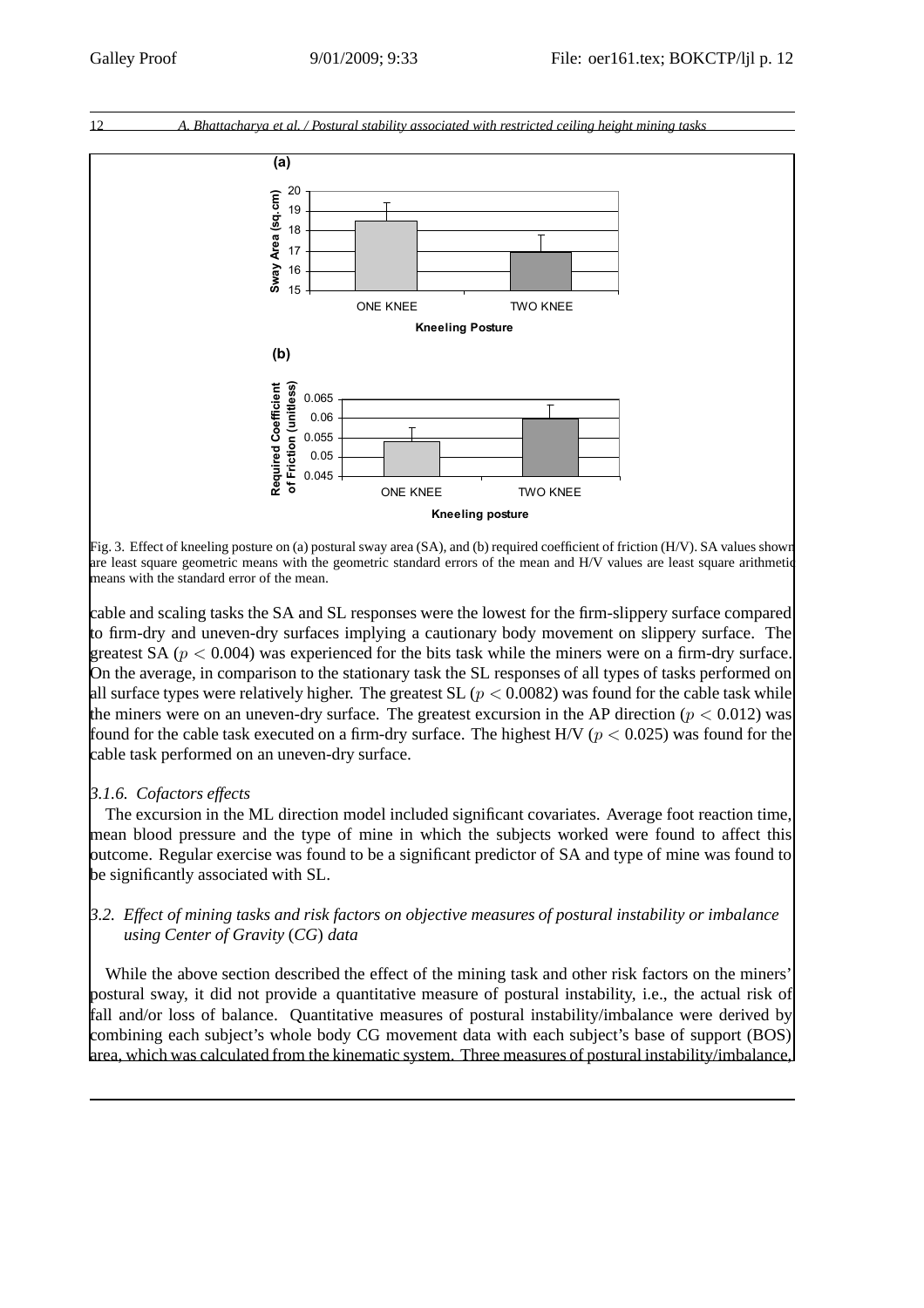

Fig. 3. Effect of kneeling posture on (a) postural sway area (SA), and (b) required coefficient of friction (H/V). SA values shown are least square geometric means with the geometric standard errors of the mean and H/V values are least square arithmetic means with the standard error of the mean.

cable and scaling tasks the SA and SL responses were the lowest for the firm-slippery surface compared to firm-dry and uneven-dry surfaces implying a cautionary body movement on slippery surface. The greatest SA ( $p < 0.004$ ) was experienced for the bits task while the miners were on a firm-dry surface. On the average, in comparison to the stationary task the SL responses of all types of tasks performed on all surface types were relatively higher. The greatest SL ( $p < 0.0082$ ) was found for the cable task while the miners were on an uneven-dry surface. The greatest excursion in the AP direction ( $p < 0.012$ ) was found for the cable task executed on a firm-dry surface. The highest H/V ( $p < 0.025$ ) was found for the cable task performed on an uneven-dry surface.

## *3.1.6. Cofactors effects*

The excursion in the ML direction model included significant covariates. Average foot reaction time, mean blood pressure and the type of mine in which the subjects worked were found to affect this outcome. Regular exercise was found to be a significant predictor of SA and type of mine was found to be significantly associated with SL.

# *3.2. Effect of mining tasks and risk factors on objective measures of postural instability or imbalance using Center of Gravity* (*CG*) *data*

While the above section described the effect of the mining task and other risk factors on the miners' postural sway, it did not provide a quantitative measure of postural instability, i.e., the actual risk of fall and/or loss of balance. Quantitative measures of postural instability/imbalance were derived by combining each subject's whole body CG movement data with each subject's base of support (BOS) area, which was calculated from the kinematic system. Three measures of postural instability/imbalance,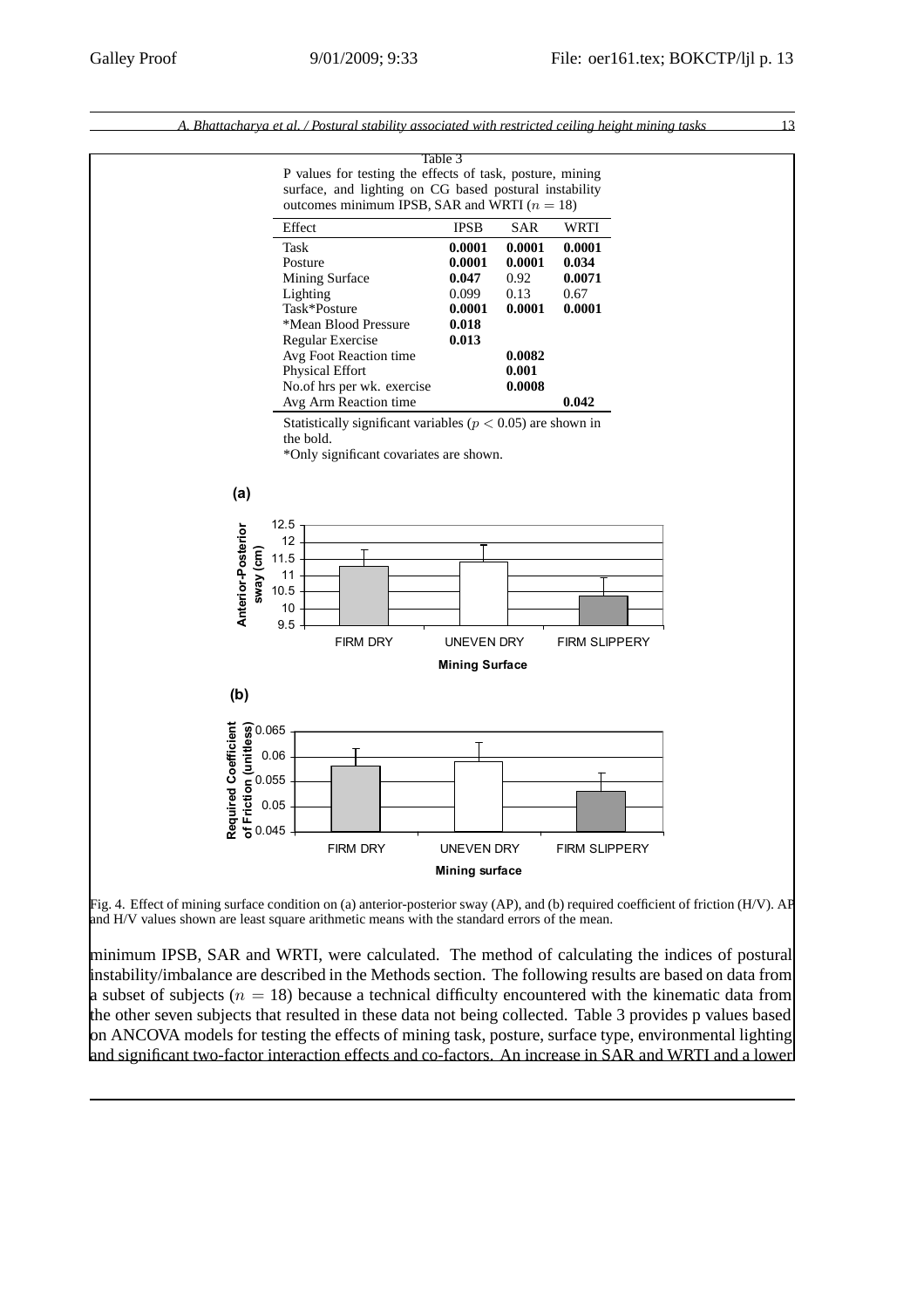

Fig. 4. Effect of mining surface condition on (a) anterior-posterior sway (AP), and (b) required coefficient of friction (H/V). AP and H/V values shown are least square arithmetic means with the standard errors of the mean.

minimum IPSB, SAR and WRTI, were calculated. The method of calculating the indices of postural instability/imbalance are described in the Methods section. The following results are based on data from a subset of subjects ( $n = 18$ ) because a technical difficulty encountered with the kinematic data from the other seven subjects that resulted in these data not being collected. Table 3 provides p values based on ANCOVA models for testing the effects of mining task, posture, surface type, environmental lighting and significant two-factor interaction effects and co-factors. An increase in SAR and WRTI and a lower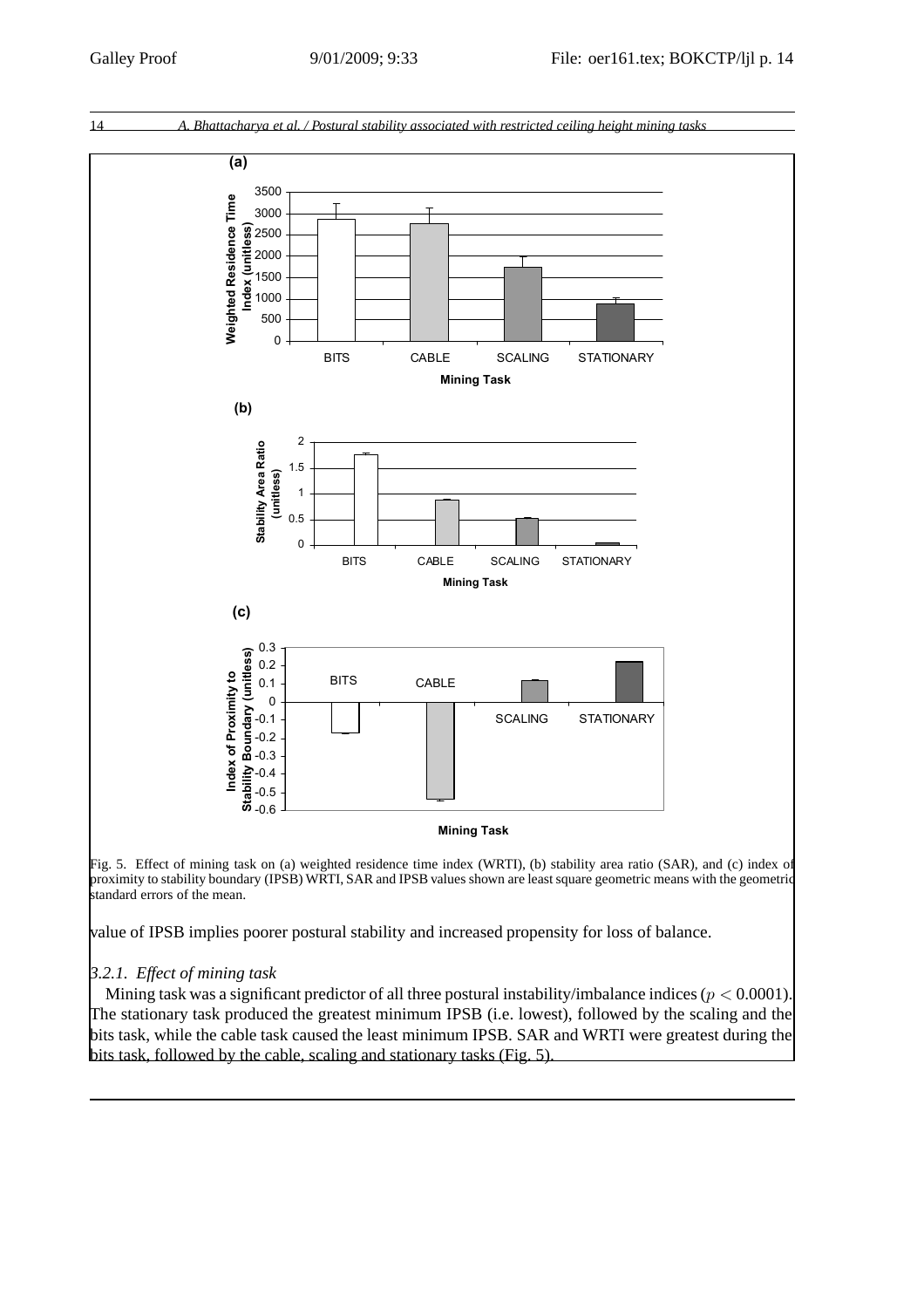

Fig. 5. Effect of mining task on (a) weighted residence time index (WRTI), (b) stability area ratio (SAR), and (c) index of proximity to stability boundary (IPSB) WRTI, SAR and IPSB values shown are least square geometric means with the geometric standard errors of the mean.

value of IPSB implies poorer postural stability and increased propensity for loss of balance.

# *3.2.1. Effect of mining task*

Mining task was a significant predictor of all three postural instability/imbalance indices ( $p < 0.0001$ ). The stationary task produced the greatest minimum IPSB (i.e. lowest), followed by the scaling and the bits task, while the cable task caused the least minimum IPSB. SAR and WRTI were greatest during the bits task, followed by the cable, scaling and stationary tasks (Fig. 5).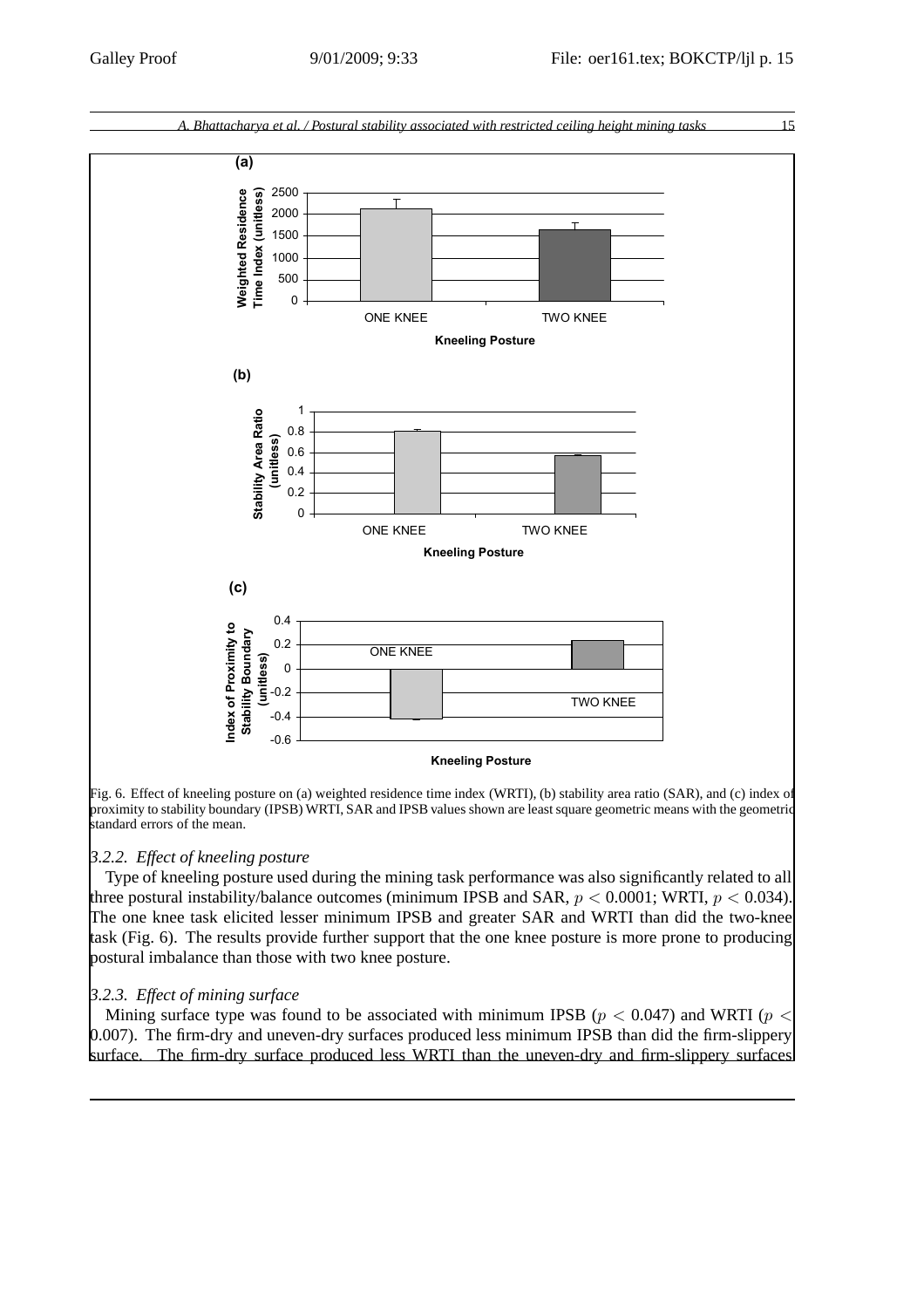

Fig. 6. Effect of kneeling posture on (a) weighted residence time index (WRTI), (b) stability area ratio (SAR), and (c) index of proximity to stability boundary (IPSB) WRTI, SAR and IPSB values shown are least square geometric means with the geometric standard errors of the mean.

#### *3.2.2. Effect of kneeling posture*

Type of kneeling posture used during the mining task performance was also significantly related to all three postural instability/balance outcomes (minimum IPSB and SAR,  $p < 0.0001$ ; WRTI,  $p < 0.034$ ). The one knee task elicited lesser minimum IPSB and greater SAR and WRTI than did the two-knee task (Fig. 6). The results provide further support that the one knee posture is more prone to producing postural imbalance than those with two knee posture.

# *3.2.3. Effect of mining surface*

Mining surface type was found to be associated with minimum IPSB ( $p < 0.047$ ) and WRTI ( $p <$ 0.007). The firm-dry and uneven-dry surfaces produced less minimum IPSB than did the firm-slippery surface. The firm-dry surface produced less WRTI than the uneven-dry and firm-slippery surfaces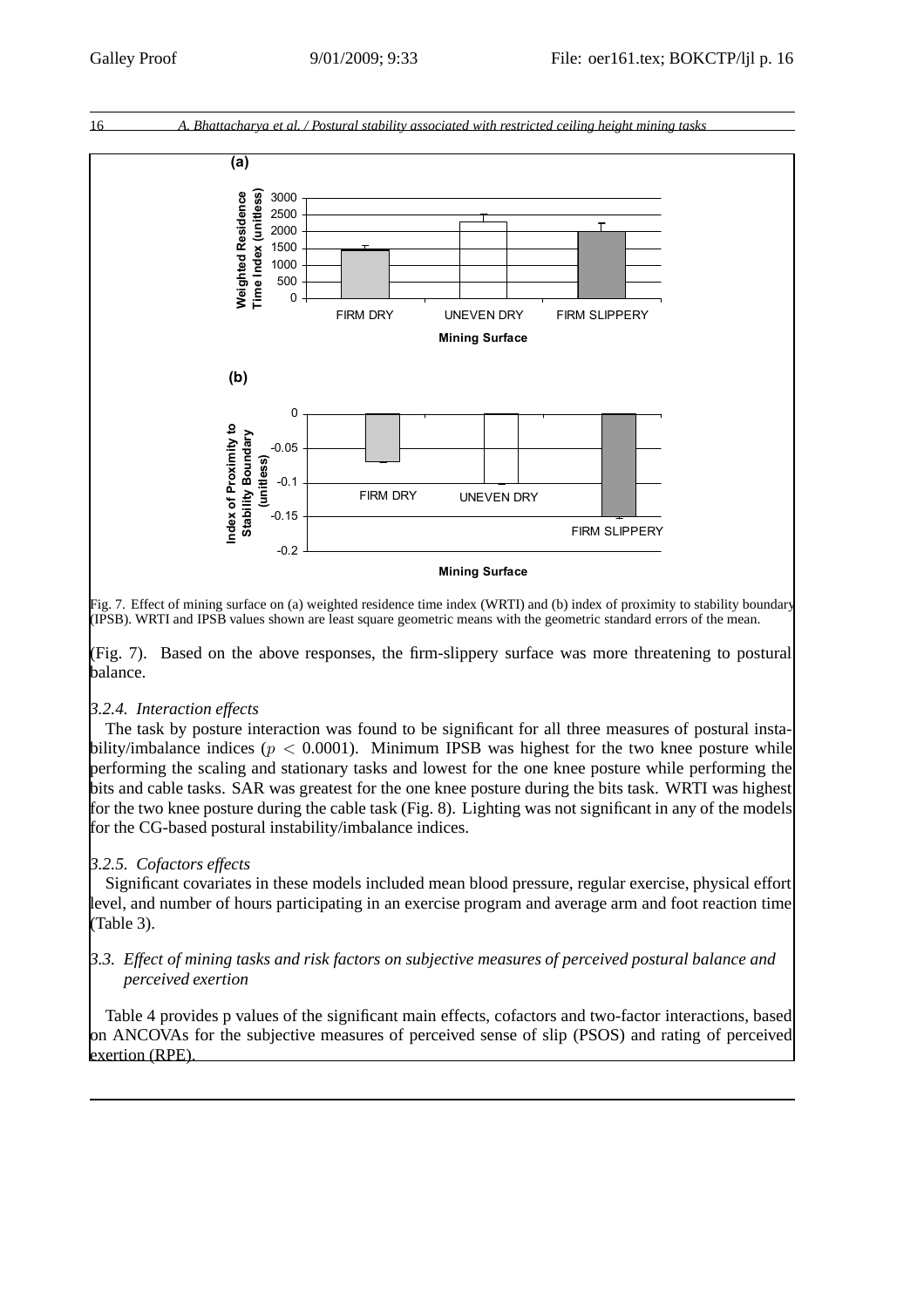

Fig. 7. Effect of mining surface on (a) weighted residence time index (WRTI) and (b) index of proximity to stability boundary (IPSB). WRTI and IPSB values shown are least square geometric means with the geometric standard errors of the mean.

(Fig. 7). Based on the above responses, the firm-slippery surface was more threatening to postural balance.

#### *3.2.4. Interaction effects*

The task by posture interaction was found to be significant for all three measures of postural instability/imbalance indices ( $p < 0.0001$ ). Minimum IPSB was highest for the two knee posture while performing the scaling and stationary tasks and lowest for the one knee posture while performing the bits and cable tasks. SAR was greatest for the one knee posture during the bits task. WRTI was highest for the two knee posture during the cable task (Fig. 8). Lighting was not significant in any of the models for the CG-based postural instability/imbalance indices.

#### *3.2.5. Cofactors effects*

Significant covariates in these models included mean blood pressure, regular exercise, physical effort level, and number of hours participating in an exercise program and average arm and foot reaction time (Table 3).

#### *3.3. Effect of mining tasks and risk factors on subjective measures of perceived postural balance and perceived exertion*

Table 4 provides p values of the significant main effects, cofactors and two-factor interactions, based on ANCOVAs for the subjective measures of perceived sense of slip (PSOS) and rating of perceived exertion (RPE).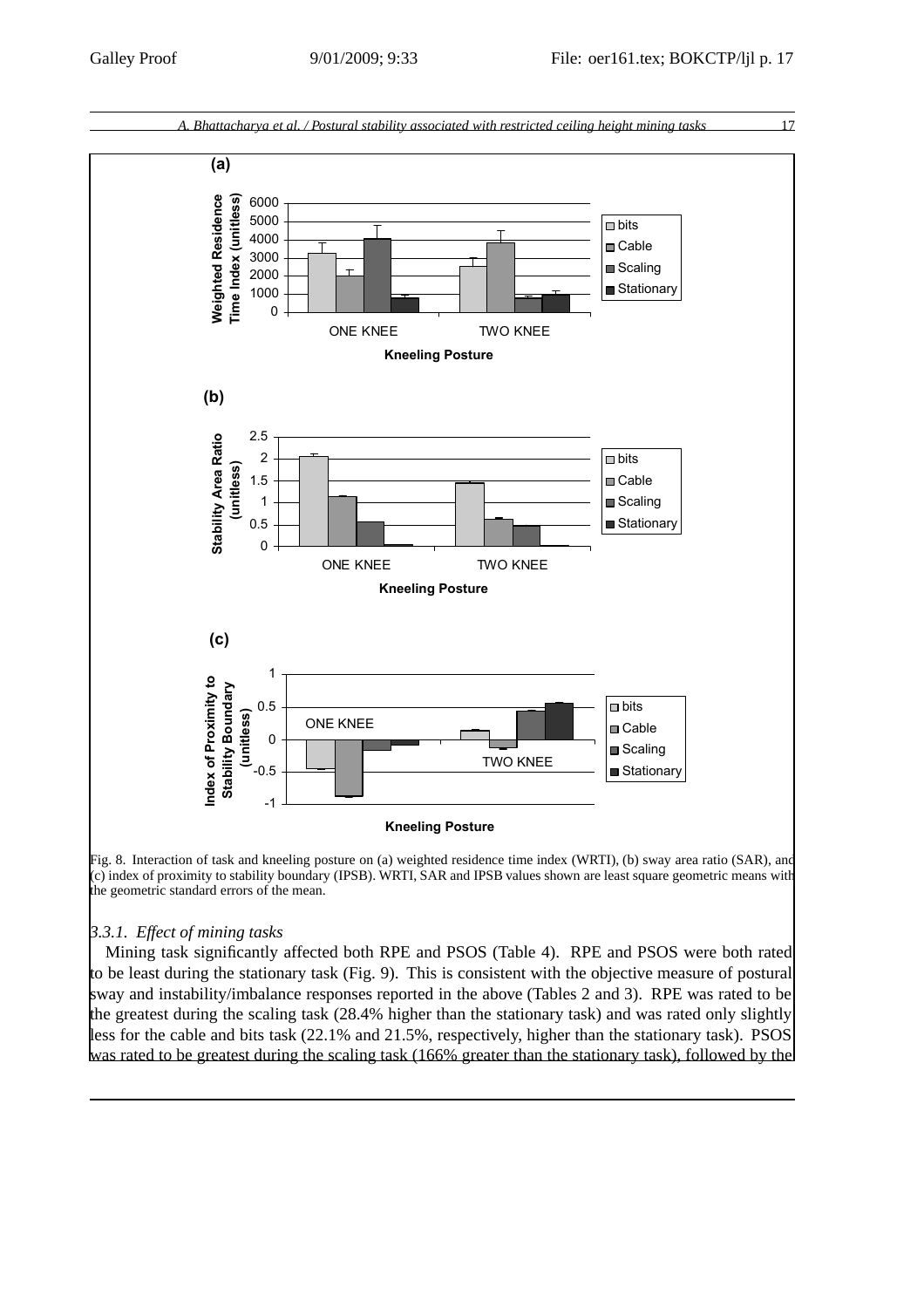

Fig. 8. Interaction of task and kneeling posture on (a) weighted residence time index (WRTI), (b) sway area ratio (SAR), and (c) index of proximity to stability boundary (IPSB). WRTI, SAR and IPSB values shown are least square geometric means with the geometric standard errors of the mean.

#### *3.3.1. Effect of mining tasks*

Mining task significantly affected both RPE and PSOS (Table 4). RPE and PSOS were both rated to be least during the stationary task (Fig. 9). This is consistent with the objective measure of postural sway and instability/imbalance responses reported in the above (Tables 2 and 3). RPE was rated to be the greatest during the scaling task (28.4% higher than the stationary task) and was rated only slightly less for the cable and bits task (22.1% and 21.5%, respectively, higher than the stationary task). PSOS was rated to be greatest during the scaling task (166% greater than the stationary task), followed by the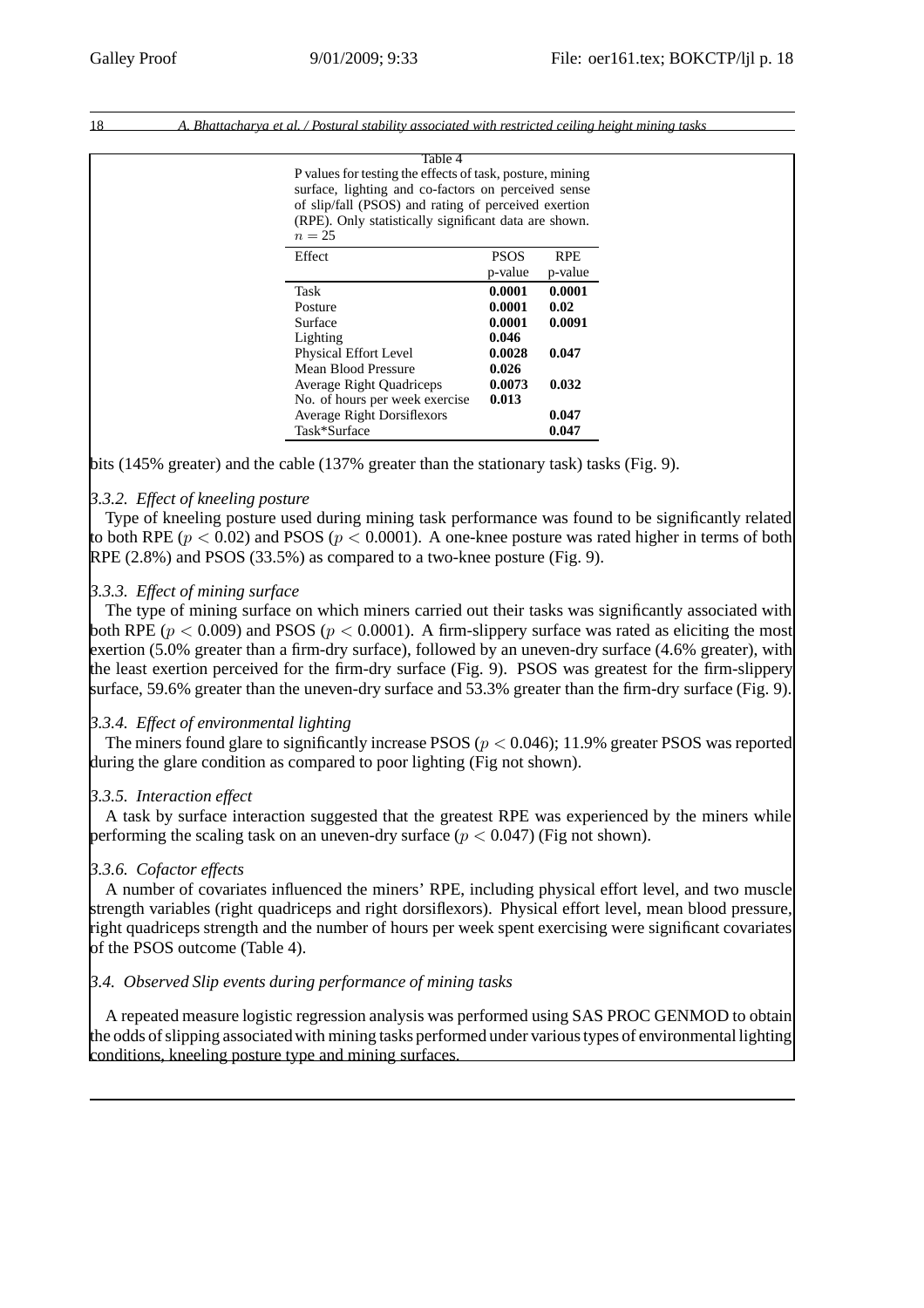| Table 4<br>P values for testing the effects of task, posture, mining<br>surface, lighting and co-factors on perceived sense<br>of slip/fall (PSOS) and rating of perceived exertion |             |            |
|-------------------------------------------------------------------------------------------------------------------------------------------------------------------------------------|-------------|------------|
| (RPE). Only statistically significant data are shown.<br>$n=25$                                                                                                                     |             |            |
| Effect                                                                                                                                                                              | <b>PSOS</b> | <b>RPE</b> |
|                                                                                                                                                                                     | p-value     | p-value    |
| Task                                                                                                                                                                                | 0.0001      | 0.0001     |
| Posture                                                                                                                                                                             | 0.0001      | 0.02       |
| Surface                                                                                                                                                                             | 0.0001      | 0.0091     |
| Lighting                                                                                                                                                                            | 0.046       |            |
| <b>Physical Effort Level</b>                                                                                                                                                        | 0.0028      | 0.047      |
| Mean Blood Pressure                                                                                                                                                                 | 0.026       |            |
| Average Right Quadriceps                                                                                                                                                            | 0.0073      | 0.032      |
| No. of hours per week exercise                                                                                                                                                      | 0.013       |            |
| <b>Average Right Dorsiflexors</b>                                                                                                                                                   |             | 0.047      |
| Task*Surface                                                                                                                                                                        |             | 0.047      |

bits (145% greater) and the cable (137% greater than the stationary task) tasks (Fig. 9).

#### *3.3.2. Effect of kneeling posture*

Type of kneeling posture used during mining task performance was found to be significantly related to both RPE ( $p < 0.02$ ) and PSOS ( $p < 0.0001$ ). A one-knee posture was rated higher in terms of both RPE (2.8%) and PSOS (33.5%) as compared to a two-knee posture (Fig. 9).

#### *3.3.3. Effect of mining surface*

The type of mining surface on which miners carried out their tasks was significantly associated with both RPE ( $p < 0.009$ ) and PSOS ( $p < 0.0001$ ). A firm-slippery surface was rated as eliciting the most exertion (5.0% greater than a firm-dry surface), followed by an uneven-dry surface (4.6% greater), with the least exertion perceived for the firm-dry surface (Fig. 9). PSOS was greatest for the firm-slippery surface, 59.6% greater than the uneven-dry surface and 53.3% greater than the firm-dry surface (Fig. 9).

#### *3.3.4. Effect of environmental lighting*

The miners found glare to significantly increase PSOS ( $p < 0.046$ ); 11.9% greater PSOS was reported during the glare condition as compared to poor lighting (Fig not shown).

#### *3.3.5. Interaction effect*

A task by surface interaction suggested that the greatest RPE was experienced by the miners while performing the scaling task on an uneven-dry surface  $(p < 0.047)$  (Fig not shown).

#### *3.3.6. Cofactor effects*

A number of covariates influenced the miners' RPE, including physical effort level, and two muscle strength variables (right quadriceps and right dorsiflexors). Physical effort level, mean blood pressure, right quadriceps strength and the number of hours per week spent exercising were significant covariates of the PSOS outcome (Table 4).

#### *3.4. Observed Slip events during performance of mining tasks*

A repeated measure logistic regression analysis was performed using SAS PROC GENMOD to obtain the odds of slipping associated with mining tasks performed under various types of environmental lighting conditions, kneeling posture type and mining surfaces.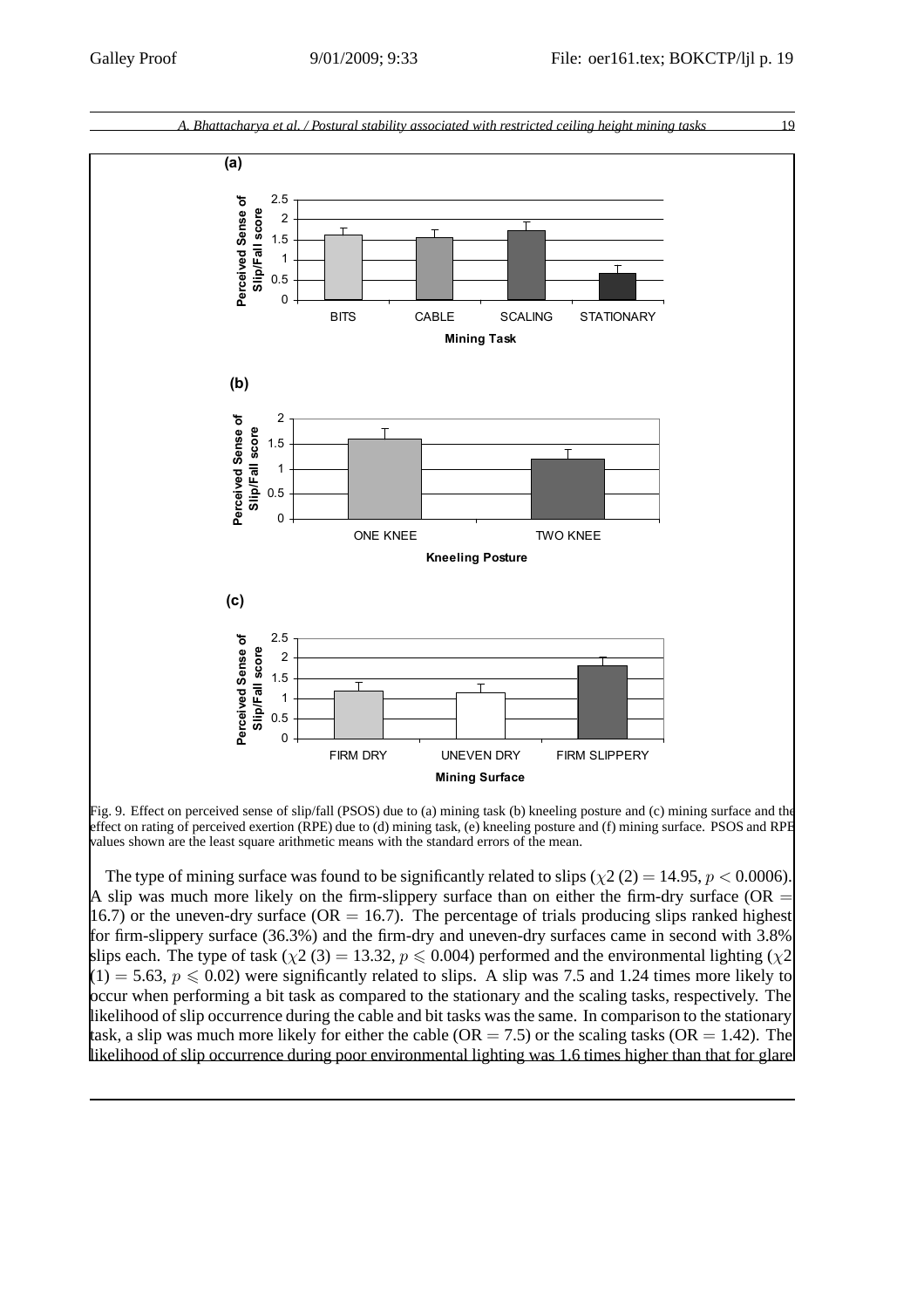

Fig. 9. Effect on perceived sense of slip/fall (PSOS) due to (a) mining task (b) kneeling posture and (c) mining surface and the effect on rating of perceived exertion (RPE) due to (d) mining task, (e) kneeling posture and (f) mining surface. PSOS and RPE values shown are the least square arithmetic means with the standard errors of the mean.

The type of mining surface was found to be significantly related to slips ( $\chi$ 2 (2) = 14.95, p < 0.0006). A slip was much more likely on the firm-slippery surface than on either the firm-dry surface (OR  $=$  $(16.7)$  or the uneven-dry surface (OR = 16.7). The percentage of trials producing slips ranked highest for firm-slippery surface (36.3%) and the firm-dry and uneven-dry surfaces came in second with 3.8% slips each. The type of task ( $\chi$ 2 (3) = 13.32,  $p \le 0.004$ ) performed and the environmental lighting ( $\chi$ 2  $(1) = 5.63, p \le 0.02$ ) were significantly related to slips. A slip was 7.5 and 1.24 times more likely to occur when performing a bit task as compared to the stationary and the scaling tasks, respectively. The likelihood of slip occurrence during the cable and bit tasks was the same. In comparison to the stationary task, a slip was much more likely for either the cable (OR = 7.5) or the scaling tasks (OR = 1.42). The likelihood of slip occurrence during poor environmental lighting was 1.6 times higher than that for glare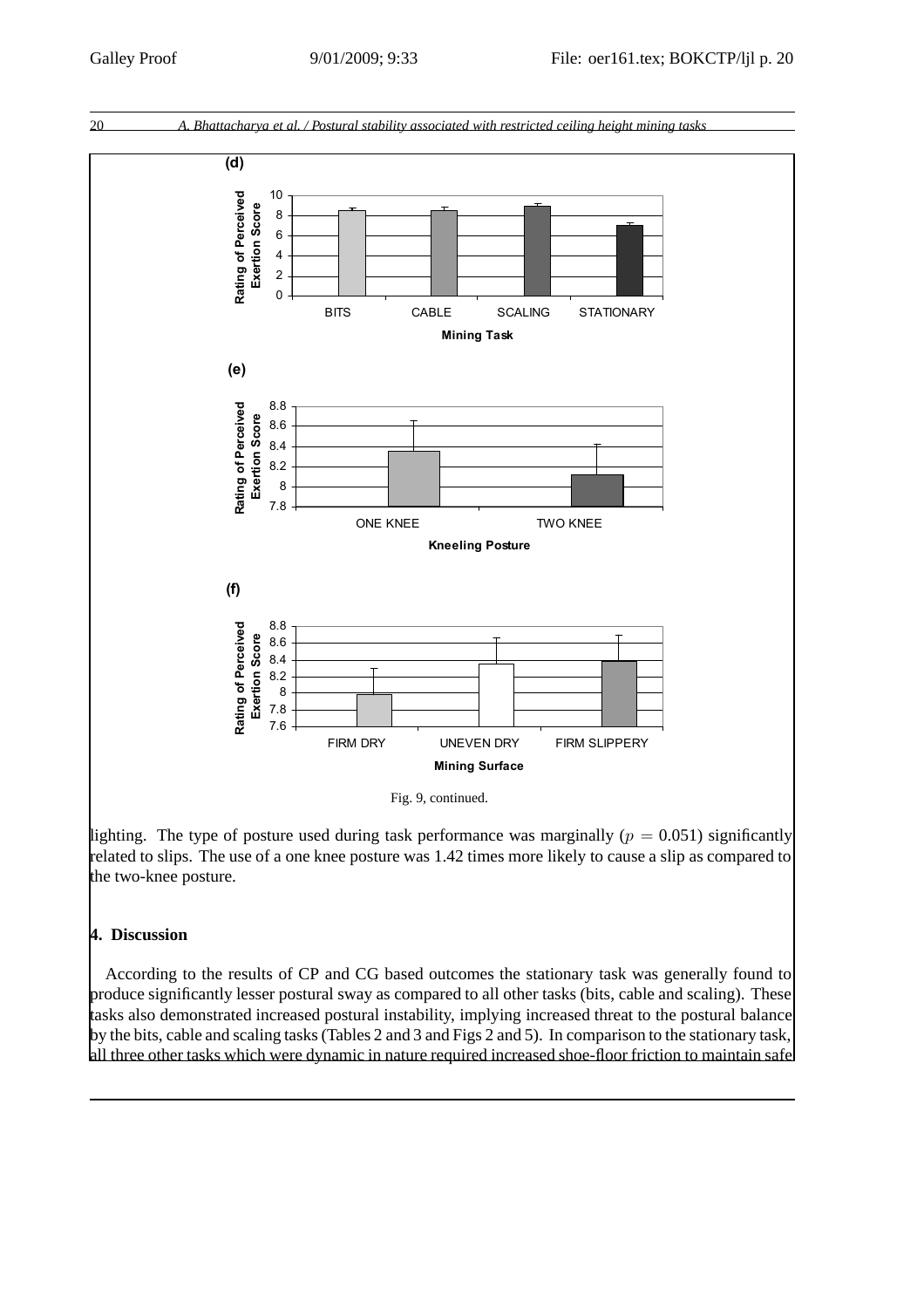

lighting. The type of posture used during task performance was marginally ( $p = 0.051$ ) significantly related to slips. The use of a one knee posture was 1.42 times more likely to cause a slip as compared to the two-knee posture.

# **4. Discussion**

According to the results of CP and CG based outcomes the stationary task was generally found to produce significantly lesser postural sway as compared to all other tasks (bits, cable and scaling). These tasks also demonstrated increased postural instability, implying increased threat to the postural balance by the bits, cable and scaling tasks (Tables 2 and 3 and Figs 2 and 5). In comparison to the stationary task, all three other tasks which were dynamic in nature required increased shoe-floor friction to maintain safe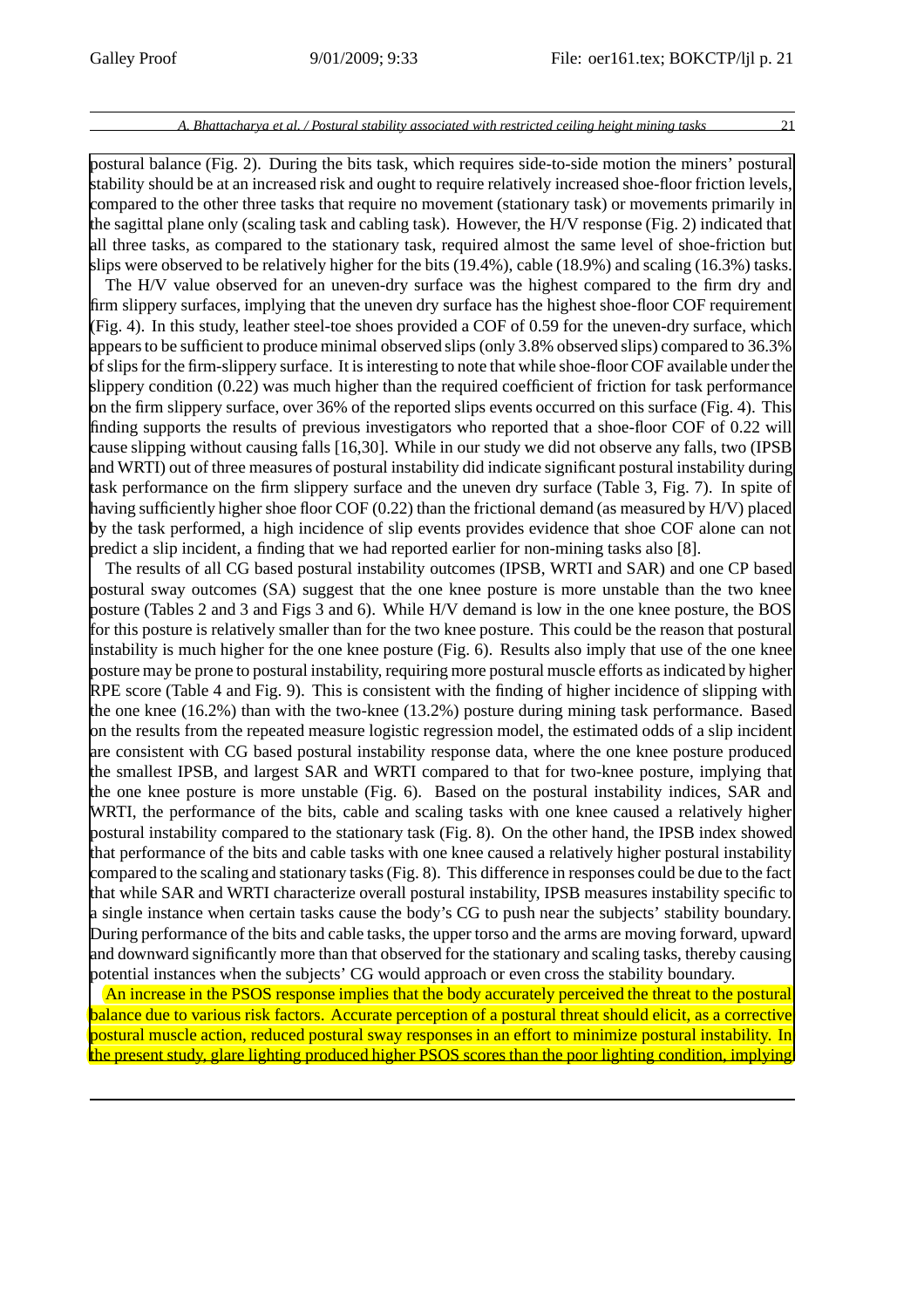postural balance (Fig. 2). During the bits task, which requires side-to-side motion the miners' postural stability should be at an increased risk and ought to require relatively increased shoe-floor friction levels, compared to the other three tasks that require no movement (stationary task) or movements primarily in the sagittal plane only (scaling task and cabling task). However, the H/V response (Fig. 2) indicated that all three tasks, as compared to the stationary task, required almost the same level of shoe-friction but slips were observed to be relatively higher for the bits (19.4%), cable (18.9%) and scaling (16.3%) tasks.

The H/V value observed for an uneven-dry surface was the highest compared to the firm dry and firm slippery surfaces, implying that the uneven dry surface has the highest shoe-floor COF requirement (Fig. 4). In this study, leather steel-toe shoes provided a COF of 0.59 for the uneven-dry surface, which appears to be sufficient to produce minimal observed slips (only 3.8% observed slips) compared to 36.3% of slips for the firm-slippery surface. It is interesting to note that while shoe-floor COF available under the slippery condition (0.22) was much higher than the required coefficient of friction for task performance on the firm slippery surface, over 36% of the reported slips events occurred on this surface (Fig. 4). This finding supports the results of previous investigators who reported that a shoe-floor COF of 0.22 will cause slipping without causing falls [16,30]. While in our study we did not observe any falls, two (IPSB and WRTI) out of three measures of postural instability did indicate significant postural instability during task performance on the firm slippery surface and the uneven dry surface (Table 3, Fig. 7). In spite of having sufficiently higher shoe floor COF (0.22) than the frictional demand (as measured by H/V) placed by the task performed, a high incidence of slip events provides evidence that shoe COF alone can not predict a slip incident, a finding that we had reported earlier for non-mining tasks also [8].

The results of all CG based postural instability outcomes (IPSB, WRTI and SAR) and one CP based postural sway outcomes (SA) suggest that the one knee posture is more unstable than the two knee posture (Tables 2 and 3 and Figs 3 and 6). While H/V demand is low in the one knee posture, the BOS for this posture is relatively smaller than for the two knee posture. This could be the reason that postural instability is much higher for the one knee posture (Fig. 6). Results also imply that use of the one knee posture may be prone to postural instability, requiring more postural muscle efforts as indicated by higher RPE score (Table 4 and Fig. 9). This is consistent with the finding of higher incidence of slipping with the one knee (16.2%) than with the two-knee (13.2%) posture during mining task performance. Based on the results from the repeated measure logistic regression model, the estimated odds of a slip incident are consistent with CG based postural instability response data, where the one knee posture produced the smallest IPSB, and largest SAR and WRTI compared to that for two-knee posture, implying that the one knee posture is more unstable (Fig. 6). Based on the postural instability indices, SAR and WRTI, the performance of the bits, cable and scaling tasks with one knee caused a relatively higher postural instability compared to the stationary task (Fig. 8). On the other hand, the IPSB index showed that performance of the bits and cable tasks with one knee caused a relatively higher postural instability compared to the scaling and stationary tasks (Fig. 8). This difference in responses could be due to the fact that while SAR and WRTI characterize overall postural instability, IPSB measures instability specific to a single instance when certain tasks cause the body's CG to push near the subjects' stability boundary. During performance of the bits and cable tasks, the upper torso and the arms are moving forward, upward and downward significantly more than that observed for the stationary and scaling tasks, thereby causing potential instances when the subjects' CG would approach or even cross the stability boundary.

An increase in the PSOS response implies that the body accurately perceived the threat to the postural balance due to various risk factors. Accurate perception of a postural threat should elicit, as a corrective postural muscle action, reduced postural sway responses in an effort to minimize postural instability. In the present study, glare lighting produced higher PSOS scores than the poor lighting condition, implying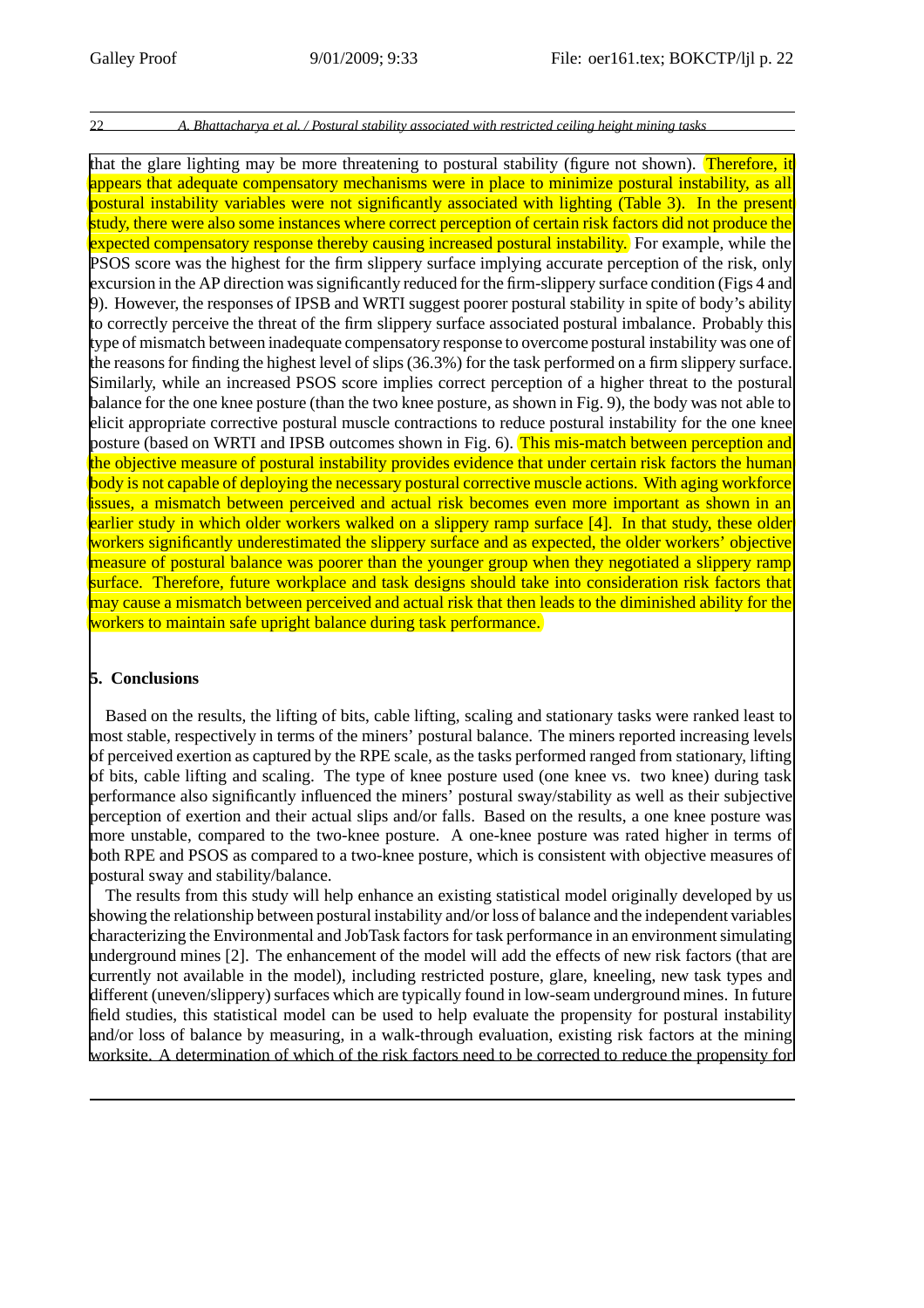that the glare lighting may be more threatening to postural stability (figure not shown). Therefore, it appears that adequate compensatory mechanisms were in place to minimize postural instability, as all postural instability variables were not significantly associated with lighting (Table 3). In the present study, there were also some instances where correct perception of certain risk factors did not produce the expected compensatory response thereby causing increased postural instability. For example, while the PSOS score was the highest for the firm slippery surface implying accurate perception of the risk, only excursion in the AP direction was significantly reduced for the firm-slippery surface condition (Figs 4 and 9). However, the responses of IPSB and WRTI suggest poorer postural stability in spite of body's ability to correctly perceive the threat of the firm slippery surface associated postural imbalance. Probably this type of mismatch between inadequate compensatory response to overcome postural instability was one of the reasons for finding the highest level of slips (36.3%) for the task performed on a firm slippery surface. Similarly, while an increased PSOS score implies correct perception of a higher threat to the postural balance for the one knee posture (than the two knee posture, as shown in Fig. 9), the body was not able to elicit appropriate corrective postural muscle contractions to reduce postural instability for the one knee posture (based on WRTI and IPSB outcomes shown in Fig. 6). This mis-match between perception and the objective measure of postural instability provides evidence that under certain risk factors the human body is not capable of deploying the necessary postural corrective muscle actions. With aging workforce issues, a mismatch between perceived and actual risk becomes even more important as shown in an earlier study in which older workers walked on a slippery ramp surface [4]. In that study, these older workers significantly underestimated the slippery surface and as expected, the older workers' objective measure of postural balance was poorer than the younger group when they negotiated a slippery ramp surface. Therefore, future workplace and task designs should take into consideration risk factors that may cause a mismatch between perceived and actual risk that then leads to the diminished ability for the workers to maintain safe upright balance during task performance.

#### **5. Conclusions**

Based on the results, the lifting of bits, cable lifting, scaling and stationary tasks were ranked least to most stable, respectively in terms of the miners' postural balance. The miners reported increasing levels of perceived exertion as captured by the RPE scale, as the tasks performed ranged from stationary, lifting of bits, cable lifting and scaling. The type of knee posture used (one knee vs. two knee) during task performance also significantly influenced the miners' postural sway/stability as well as their subjective perception of exertion and their actual slips and/or falls. Based on the results, a one knee posture was more unstable, compared to the two-knee posture. A one-knee posture was rated higher in terms of both RPE and PSOS as compared to a two-knee posture, which is consistent with objective measures of postural sway and stability/balance.

The results from this study will help enhance an existing statistical model originally developed by us showing the relationship between postural instability and/or loss of balance and the independent variables characterizing the Environmental and JobTask factors for task performance in an environment simulating underground mines [2]. The enhancement of the model will add the effects of new risk factors (that are currently not available in the model), including restricted posture, glare, kneeling, new task types and different (uneven/slippery) surfaces which are typically found in low-seam underground mines. In future field studies, this statistical model can be used to help evaluate the propensity for postural instability and/or loss of balance by measuring, in a walk-through evaluation, existing risk factors at the mining worksite. A determination of which of the risk factors need to be corrected to reduce the propensity for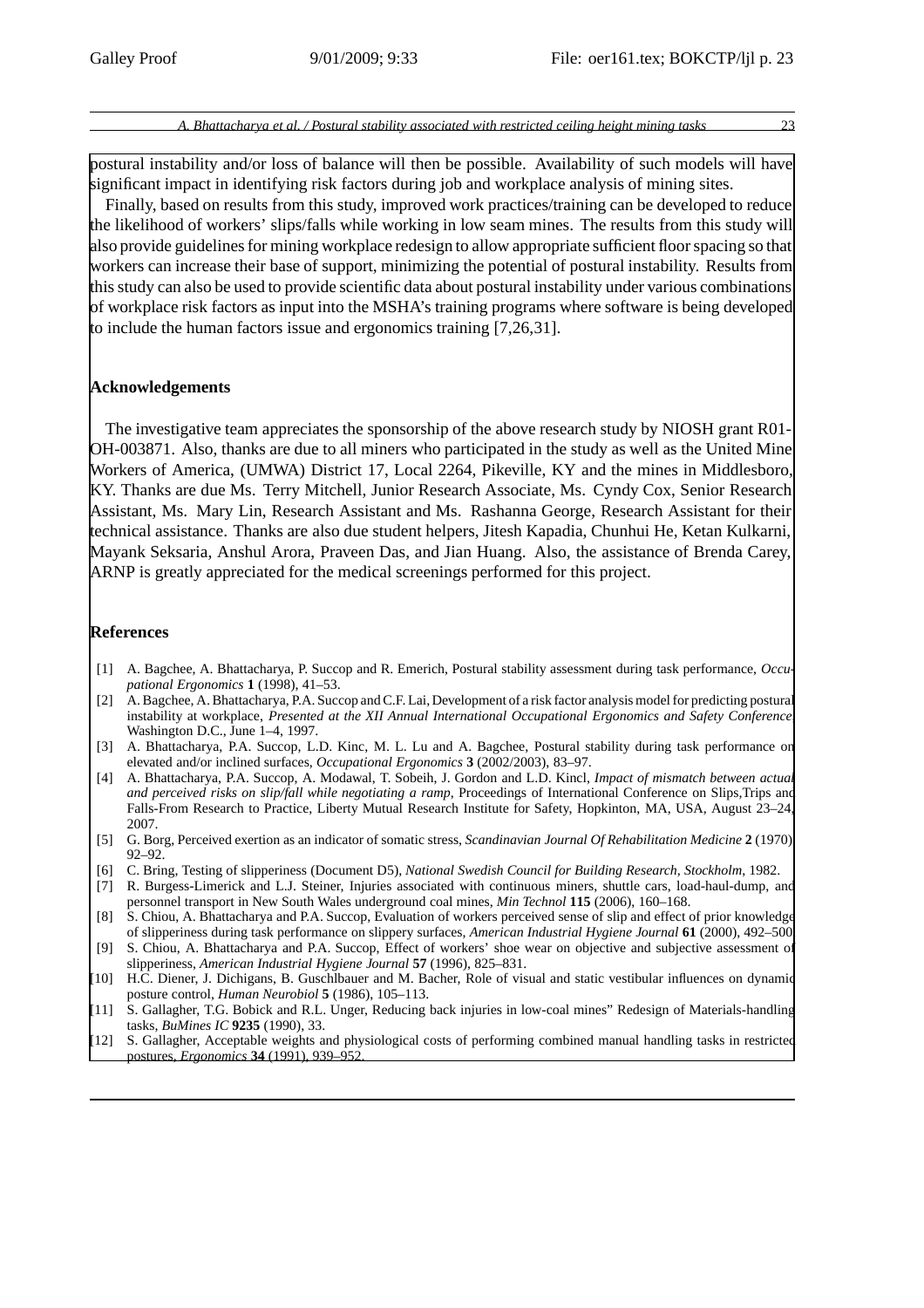postural instability and/or loss of balance will then be possible. Availability of such models will have significant impact in identifying risk factors during job and workplace analysis of mining sites. Finally, based on results from this study, improved work practices/training can be developed to reduce the likelihood of workers' slips/falls while working in low seam mines. The results from this study will also provide guidelines for mining workplace redesign to allow appropriate sufficient floor spacing so that workers can increase their base of support, minimizing the potential of postural instability. Results from this study can also be used to provide scientific data about postural instability under various combinations of workplace risk factors as input into the MSHA's training programs where software is being developed to include the human factors issue and ergonomics training [7,26,31].

#### **Acknowledgements**

The investigative team appreciates the sponsorship of the above research study by NIOSH grant R01- OH-003871. Also, thanks are due to all miners who participated in the study as well as the United Mine Workers of America, (UMWA) District 17, Local 2264, Pikeville, KY and the mines in Middlesboro, KY. Thanks are due Ms. Terry Mitchell, Junior Research Associate, Ms. Cyndy Cox, Senior Research Assistant, Ms. Mary Lin, Research Assistant and Ms. Rashanna George, Research Assistant for their technical assistance. Thanks are also due student helpers, Jitesh Kapadia, Chunhui He, Ketan Kulkarni, Mayank Seksaria, Anshul Arora, Praveen Das, and Jian Huang. Also, the assistance of Brenda Carey, ARNP is greatly appreciated for the medical screenings performed for this project.

#### **References**

- [1] A. Bagchee, A. Bhattacharya, P. Succop and R. Emerich, Postural stability assessment during task performance, *Occupational Ergonomics* **1** (1998), 41–53.
- [2] A. Bagchee, A. Bhattacharya, P.A. Succop and C.F. Lai, Development of a risk factor analysis model for predicting postural instability at workplace, *Presented at the XII Annual International Occupational Ergonomics and Safety Conference*, Washington D.C., June 1–4, 1997.
- [3] A. Bhattacharya, P.A. Succop, L.D. Kinc, M. L. Lu and A. Bagchee, Postural stability during task performance on elevated and/or inclined surfaces, *Occupational Ergonomics* **3** (2002/2003), 83–97.
- [4] A. Bhattacharya, P.A. Succop, A. Modawal, T. Sobeih, J. Gordon and L.D. Kincl, *Impact of mismatch between actual and perceived risks on slip/fall while negotiating a ramp*, Proceedings of International Conference on Slips,Trips and Falls-From Research to Practice, Liberty Mutual Research Institute for Safety, Hopkinton, MA, USA, August 23–24, 2007.
- [5] G. Borg, Perceived exertion as an indicator of somatic stress, *Scandinavian Journal Of Rehabilitation Medicine* **2** (1970), 92–92.
- [6] C. Bring, Testing of slipperiness (Document D5), *National Swedish Council for Building Research, Stockholm*, 1982.
- [7] R. Burgess-Limerick and L.J. Steiner, Injuries associated with continuous miners, shuttle cars, load-haul-dump, and personnel transport in New South Wales underground coal mines, *Min Technol* **115** (2006), 160–168.
- [8] S. Chiou, A. Bhattacharya and P.A. Succop, Evaluation of workers perceived sense of slip and effect of prior knowledge of slipperiness during task performance on slippery surfaces, *American Industrial Hygiene Journal* **61** (2000), 492–500.
- [9] S. Chiou, A. Bhattacharya and P.A. Succop, Effect of workers' shoe wear on objective and subjective assessment of slipperiness, *American Industrial Hygiene Journal* **57** (1996), 825–831.
- [10] H.C. Diener, J. Dichigans, B. Guschlbauer and M. Bacher, Role of visual and static vestibular influences on dynamic posture control, *Human Neurobiol* **5** (1986), 105–113.
- [11] S. Gallagher, T.G. Bobick and R.L. Unger, Reducing back injuries in low-coal mines" Redesign of Materials-handling tasks, *BuMines IC* **9235** (1990), 33.
- [12] S. Gallagher, Acceptable weights and physiological costs of performing combined manual handling tasks in restricted postures, *Ergonomics* **34** (1991), 939–952.